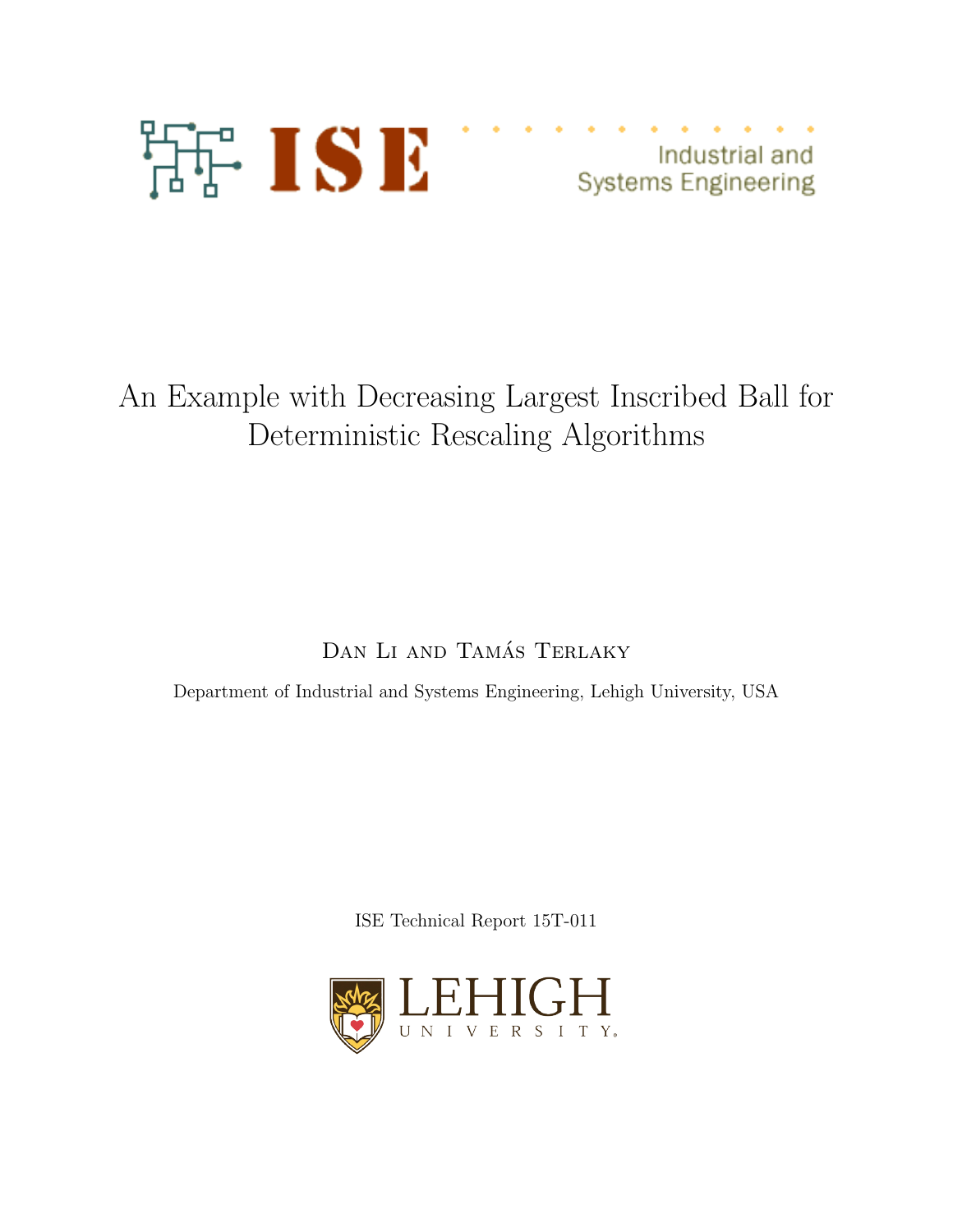

Industrial and **Systems Engineering** 

## An Example with Decreasing Largest Inscribed Ball for Deterministic Rescaling Algorithms

DAN LI AND TAMÁS TERLAKY

Department of Industrial and Systems Engineering, Lehigh University, USA

ISE Technical Report 15T-011

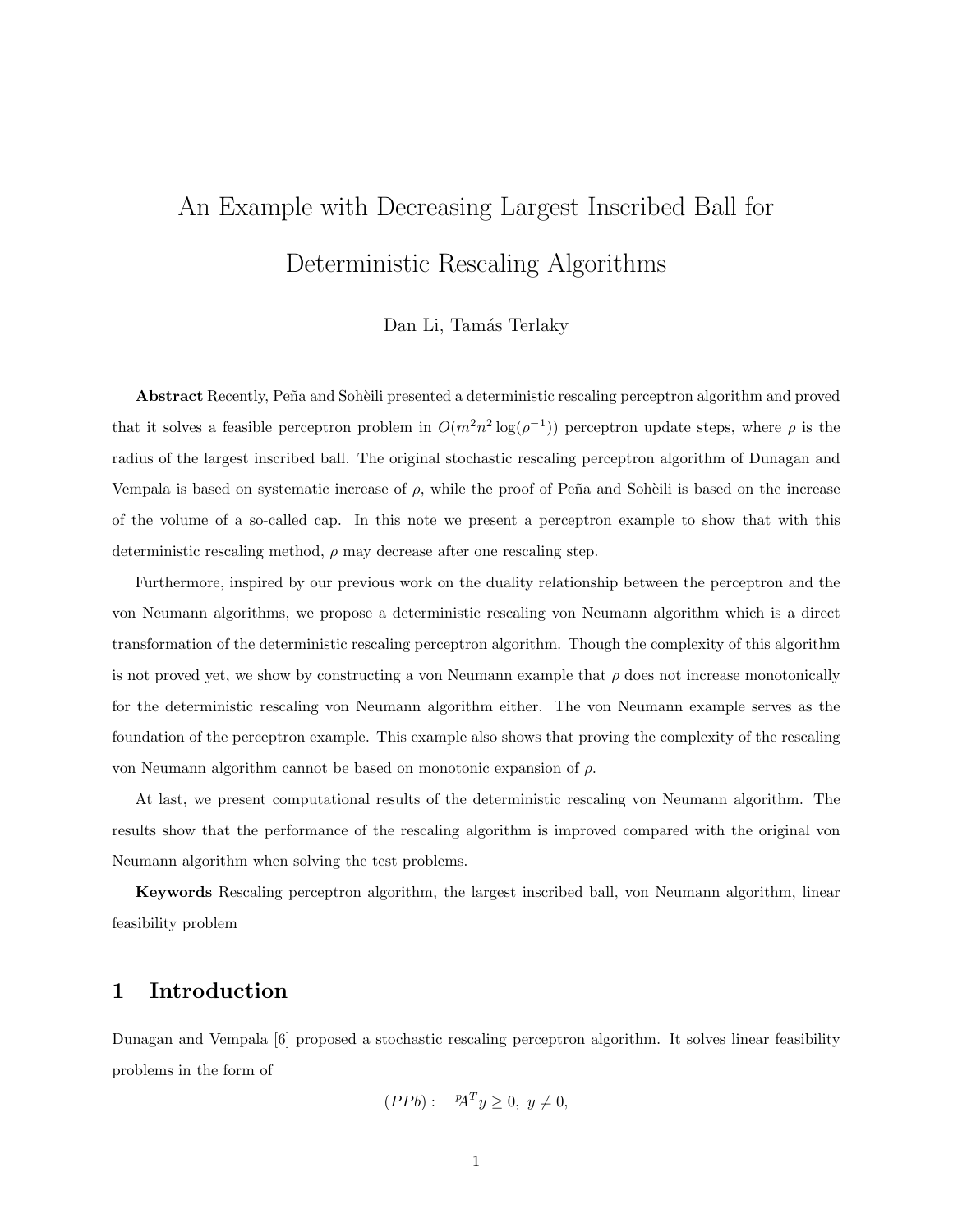# An Example with Decreasing Largest Inscribed Ball for Deterministic Rescaling Algorithms

#### Dan Li, Tamás Terlaky

Abstract Recently, Peña and Sohèili presented a deterministic rescaling perceptron algorithm and proved that it solves a feasible perceptron problem in  $O(m^2n^2 \log(\rho^{-1}))$  perceptron update steps, where  $\rho$  is the radius of the largest inscribed ball. The original stochastic rescaling perceptron algorithm of Dunagan and Vempala is based on systematic increase of  $\rho$ , while the proof of Peña and Sohèili is based on the increase of the volume of a so-called cap. In this note we present a perceptron example to show that with this deterministic rescaling method,  $\rho$  may decrease after one rescaling step.

Furthermore, inspired by our previous work on the duality relationship between the perceptron and the von Neumann algorithms, we propose a deterministic rescaling von Neumann algorithm which is a direct transformation of the deterministic rescaling perceptron algorithm. Though the complexity of this algorithm is not proved yet, we show by constructing a von Neumann example that  $\rho$  does not increase monotonically for the deterministic rescaling von Neumann algorithm either. The von Neumann example serves as the foundation of the perceptron example. This example also shows that proving the complexity of the rescaling von Neumann algorithm cannot be based on monotonic expansion of ρ.

At last, we present computational results of the deterministic rescaling von Neumann algorithm. The results show that the performance of the rescaling algorithm is improved compared with the original von Neumann algorithm when solving the test problems.

Keywords Rescaling perceptron algorithm, the largest inscribed ball, von Neumann algorithm, linear feasibility problem

## 1 Introduction

Dunagan and Vempala [6] proposed a stochastic rescaling perceptron algorithm. It solves linear feasibility problems in the form of

$$
(PPb): \quad {^p\!A}^T y \ge 0, \ y \ne 0,
$$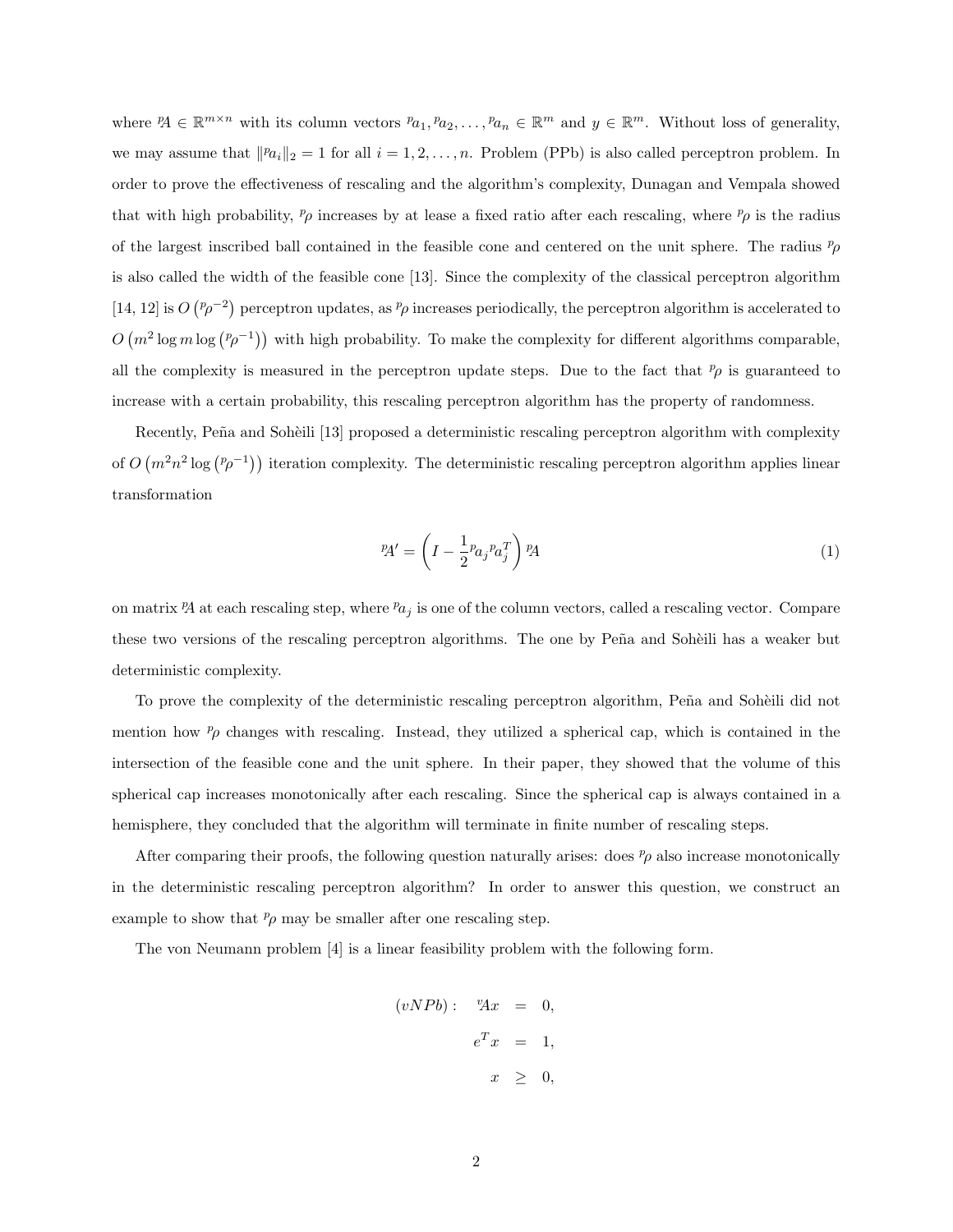where  ${}^p\!A \in \mathbb{R}^{m \times n}$  with its column vectors  ${}^p\!a_1, {}^p\!a_2, \ldots, {}^p\!a_n \in \mathbb{R}^m$  and  $y \in \mathbb{R}^m$ . Without loss of generality, we may assume that  $||p_{a_i}||_2 = 1$  for all  $i = 1, 2, ..., n$ . Problem (PPb) is also called perceptron problem. In order to prove the effectiveness of rescaling and the algorithm's complexity, Dunagan and Vempala showed that with high probability,  $p_\rho$  increases by at lease a fixed ratio after each rescaling, where  $p_\rho$  is the radius of the largest inscribed ball contained in the feasible cone and centered on the unit sphere. The radius  $p_{\rho}$ is also called the width of the feasible cone [13]. Since the complexity of the classical perceptron algorithm [14, 12] is  $O(p\rho^{-2})$  perceptron updates, as  $p\rho$  increases periodically, the perceptron algorithm is accelerated to  $O(m^2 \log m \log (p \rho^{-1}))$  with high probability. To make the complexity for different algorithms comparable, all the complexity is measured in the perceptron update steps. Due to the fact that  $p<sub>\rho</sub>$  is guaranteed to increase with a certain probability, this rescaling perceptron algorithm has the property of randomness.

Recently, Peña and Sohèili [13] proposed a deterministic rescaling perceptron algorithm with complexity of  $O(m^2n^2 \log(p-1))$  iteration complexity. The deterministic rescaling perceptron algorithm applies linear transformation

$$
P A' = \left( I - \frac{1}{2} p a_j p a_j^T \right) P A \tag{1}
$$

on matrix  $\mathcal{P}A$  at each rescaling step, where  $Pa_j$  is one of the column vectors, called a rescaling vector. Compare these two versions of the rescaling perceptron algorithms. The one by Peña and Sohèili has a weaker but deterministic complexity.

To prove the complexity of the deterministic rescaling perceptron algorithm, Peña and Sohèili did not mention how  $p<sub>\rho</sub>$  changes with rescaling. Instead, they utilized a spherical cap, which is contained in the intersection of the feasible cone and the unit sphere. In their paper, they showed that the volume of this spherical cap increases monotonically after each rescaling. Since the spherical cap is always contained in a hemisphere, they concluded that the algorithm will terminate in finite number of rescaling steps.

After comparing their proofs, the following question naturally arises: does  $\ell_p$  also increase monotonically in the deterministic rescaling perceptron algorithm? In order to answer this question, we construct an example to show that  $p \sim p$  may be smaller after one rescaling step.

The von Neumann problem [4] is a linear feasibility problem with the following form.

$$
(vNPb): \quad {}^{v}\!Ax = 0,
$$
  

$$
e^{T}x = 1,
$$
  

$$
x \geq 0,
$$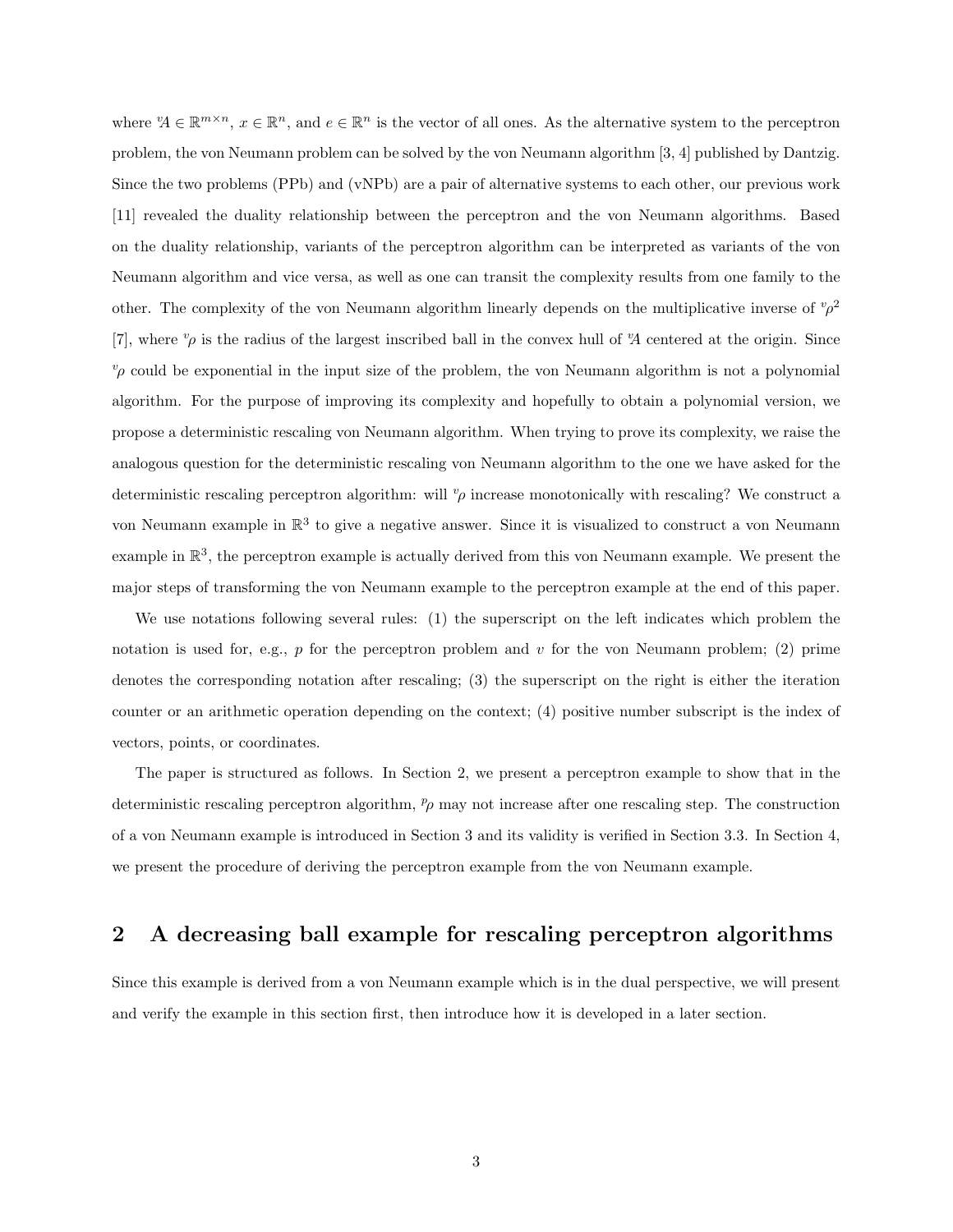where  $\mathcal{U} \in \mathbb{R}^{m \times n}$ ,  $x \in \mathbb{R}^n$ , and  $e \in \mathbb{R}^n$  is the vector of all ones. As the alternative system to the perceptron problem, the von Neumann problem can be solved by the von Neumann algorithm [3, 4] published by Dantzig. Since the two problems (PPb) and (vNPb) are a pair of alternative systems to each other, our previous work [11] revealed the duality relationship between the perceptron and the von Neumann algorithms. Based on the duality relationship, variants of the perceptron algorithm can be interpreted as variants of the von Neumann algorithm and vice versa, as well as one can transit the complexity results from one family to the other. The complexity of the von Neumann algorithm linearly depends on the multiplicative inverse of  $v\rho^2$ [7], where  $v_\rho$  is the radius of the largest inscribed ball in the convex hull of  $\mathcal{A}$  centered at the origin. Since  $v_p$  could be exponential in the input size of the problem, the von Neumann algorithm is not a polynomial algorithm. For the purpose of improving its complexity and hopefully to obtain a polynomial version, we propose a deterministic rescaling von Neumann algorithm. When trying to prove its complexity, we raise the analogous question for the deterministic rescaling von Neumann algorithm to the one we have asked for the deterministic rescaling perceptron algorithm: will  $\nu$  increase monotonically with rescaling? We construct a von Neumann example in  $\mathbb{R}^3$  to give a negative answer. Since it is visualized to construct a von Neumann example in  $\mathbb{R}^3$ , the perceptron example is actually derived from this von Neumann example. We present the major steps of transforming the von Neumann example to the perceptron example at the end of this paper.

We use notations following several rules: (1) the superscript on the left indicates which problem the notation is used for, e.g.,  $p$  for the perceptron problem and  $v$  for the von Neumann problem; (2) prime denotes the corresponding notation after rescaling; (3) the superscript on the right is either the iteration counter or an arithmetic operation depending on the context; (4) positive number subscript is the index of vectors, points, or coordinates.

The paper is structured as follows. In Section 2, we present a perceptron example to show that in the deterministic rescaling perceptron algorithm,  $p<sub>p</sub>$  may not increase after one rescaling step. The construction of a von Neumann example is introduced in Section 3 and its validity is verified in Section 3.3. In Section 4, we present the procedure of deriving the perceptron example from the von Neumann example.

## 2 A decreasing ball example for rescaling perceptron algorithms

Since this example is derived from a von Neumann example which is in the dual perspective, we will present and verify the example in this section first, then introduce how it is developed in a later section.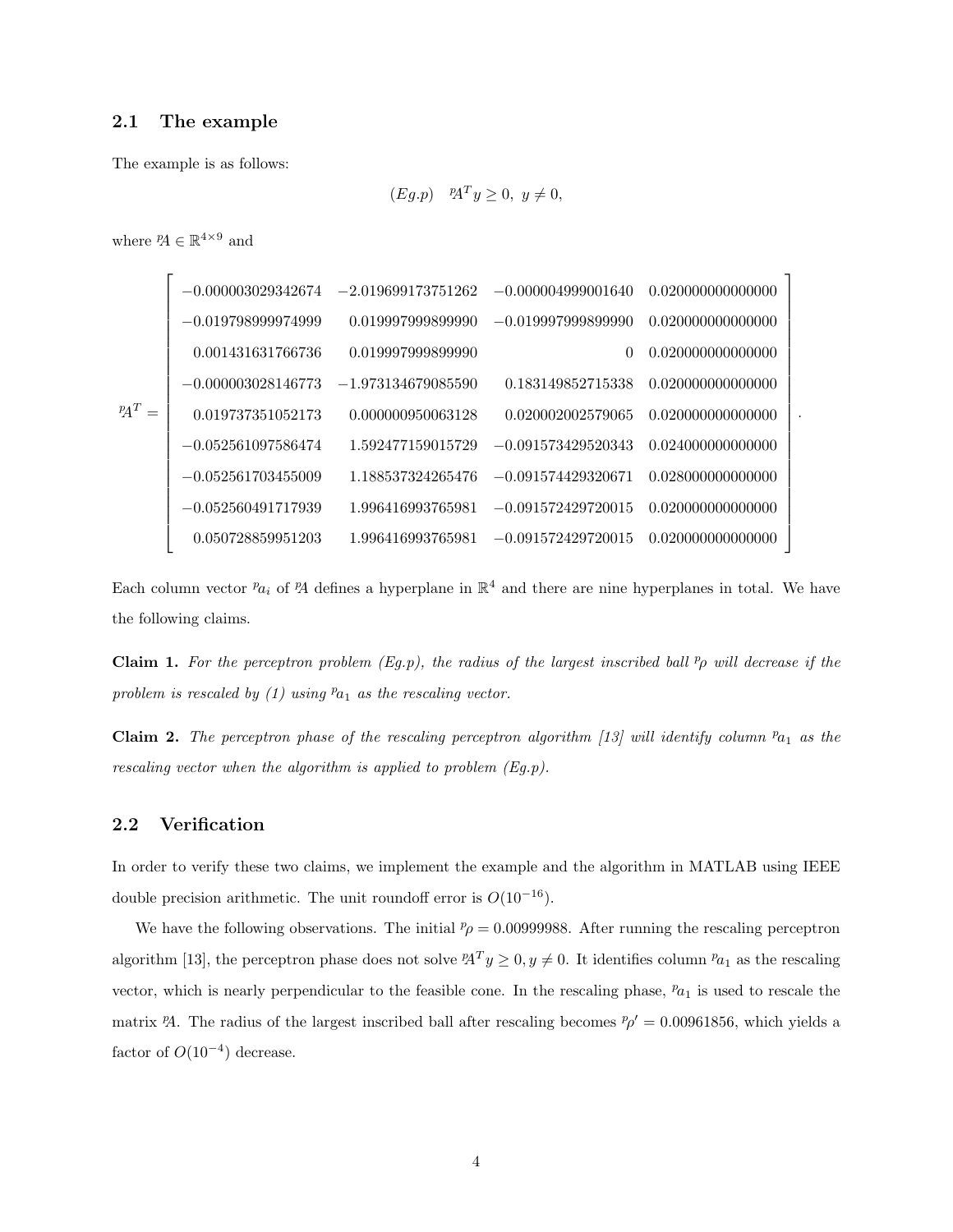#### 2.1 The example

The example is as follows:

$$
(Eg.p) \quad {^p\!A}^T y \ge 0, \ y \ne 0,
$$

where  ${}^p\!A \in \mathbb{R}^{4 \times 9}$  and

| $-0.000003029342674$ | $-2.019699173751262$ | $-0.000004999001640$ | 0.020000000000000 |
|----------------------|----------------------|----------------------|-------------------|
| $-0.019798999974999$ | 0.019997999899990    | $-0.019997999899990$ | 0.020000000000000 |
| 0.001431631766736    | 0.019997999899990    | $\Omega$             | 0.020000000000000 |
| $-0.000003028146773$ | $-1.973134679085590$ | 0.183149852715338    | 0.020000000000000 |
| 0.019737351052173    | 0.000000950063128    | 0.020002002579065    | 0.020000000000000 |
| $-0.052561097586474$ | 1.592477159015729    | $-0.091573429520343$ | 0.024000000000000 |
| $-0.052561703455009$ | 1.188537324265476    | $-0.091574429320671$ | 0.028000000000000 |
| $-0.052560491717939$ | 1.996416993765981    | $-0.091572429720015$ | 0.020000000000000 |
| 0.050728859951203    | 1.996416993765981    | $-0.091572429720015$ | 0.020000000000000 |
|                      |                      |                      |                   |

.

Each column vector  $a_i$  of  $A$  defines a hyperplane in  $\mathbb{R}^4$  and there are nine hyperplanes in total. We have the following claims.

**Claim 1.** For the perceptron problem (Eg.p), the radius of the largest inscribed ball  $p<sub>p</sub>$  will decrease if the problem is rescaled by  $(1)$  using  $a_1$  as the rescaling vector.

Claim 2. The perceptron phase of the rescaling perceptron algorithm [13] will identify column  $a_{1}$  as the rescaling vector when the algorithm is applied to problem (Eg.p).

### 2.2 Verification

In order to verify these two claims, we implement the example and the algorithm in MATLAB using IEEE double precision arithmetic. The unit roundoff error is  $O(10^{-16})$ .

We have the following observations. The initial  $p_{\rho} = 0.00999988$ . After running the rescaling perceptron algorithm [13], the perceptron phase does not solve  ${}^pA^T y \geq 0, y \neq 0$ . It identifies column  ${}^p a_1$  as the rescaling vector, which is nearly perpendicular to the feasible cone. In the rescaling phase,  $p_{a_1}$  is used to rescale the matrix PA. The radius of the largest inscribed ball after rescaling becomes  $p' = 0.00961856$ , which yields a factor of  $O(10^{-4})$  decrease.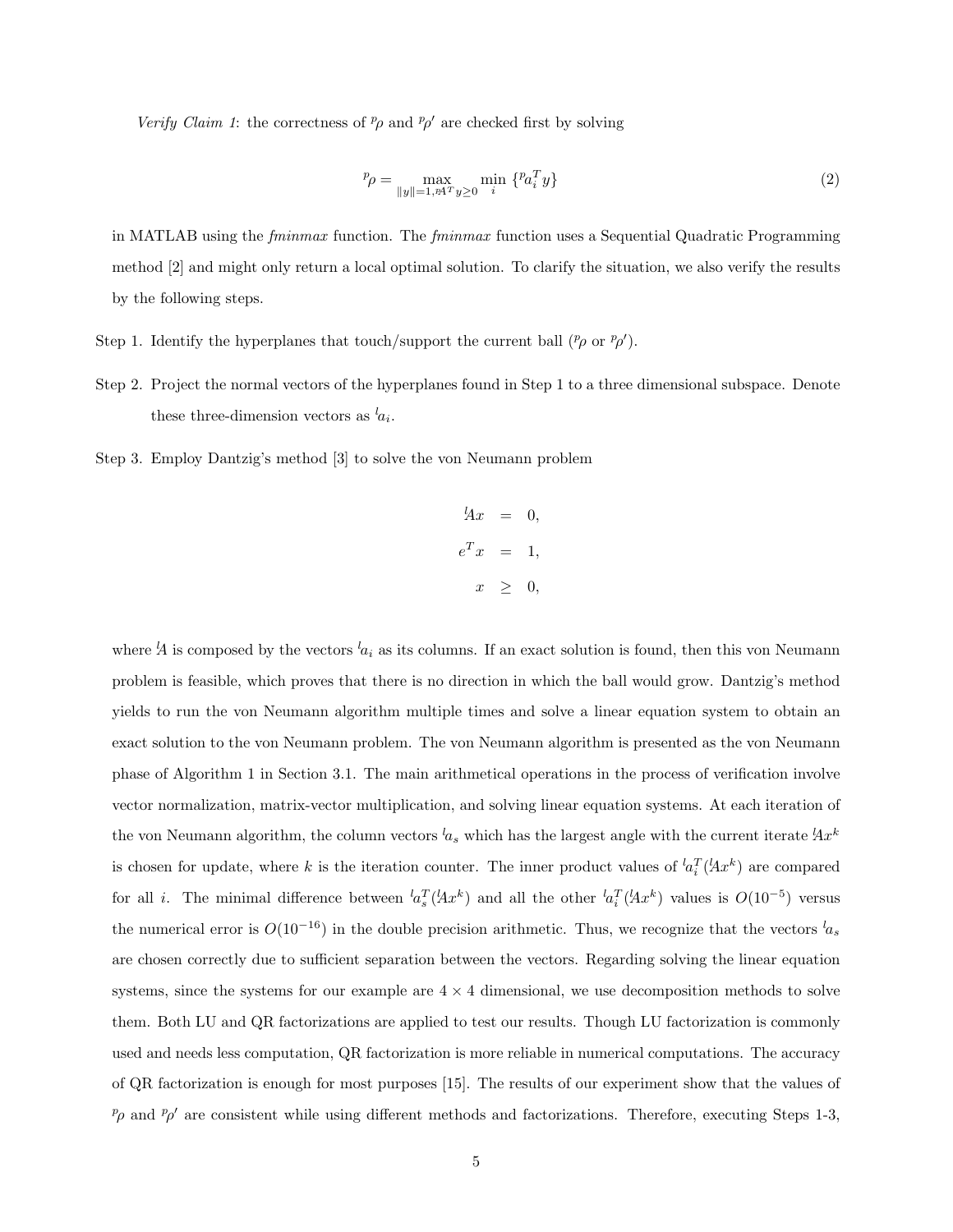Verify Claim 1: the correctness of  $p_\rho$  and  $p_\rho'$  are checked first by solving

$$
{}^{p}\rho = \max_{\|y\|=1, p \text{A}^T y \ge 0} \min_{i} \{ {}^{p}a_i^T y \} \tag{2}
$$

in MATLAB using the *fminmax* function. The *fminmax* function uses a Sequential Quadratic Programming method [2] and might only return a local optimal solution. To clarify the situation, we also verify the results by the following steps.

- Step 1. Identify the hyperplanes that touch/support the current ball  $({}^p\rho$  or  $p\rho'$ ).
- Step 2. Project the normal vectors of the hyperplanes found in Step 1 to a three dimensional subspace. Denote these three-dimension vectors as  $a_i$ .
- Step 3. Employ Dantzig's method [3] to solve the von Neumann problem

$$
{}^{l}Ax = 0,
$$
  

$$
e^{T}x = 1,
$$
  

$$
x \geq 0,
$$

where  $A$  is composed by the vectors  $a_i$  as its columns. If an exact solution is found, then this von Neumann problem is feasible, which proves that there is no direction in which the ball would grow. Dantzig's method yields to run the von Neumann algorithm multiple times and solve a linear equation system to obtain an exact solution to the von Neumann problem. The von Neumann algorithm is presented as the von Neumann phase of Algorithm 1 in Section 3.1. The main arithmetical operations in the process of verification involve vector normalization, matrix-vector multiplication, and solving linear equation systems. At each iteration of the von Neumann algorithm, the column vectors  $a_s$  which has the largest angle with the current iterate  $Ax^k$ is chosen for update, where k is the iteration counter. The inner product values of  ${}^{l}a_i^T(lax^k)$  are compared for all *i*. The minimal difference between  ${}^{l}a_s^T(lAx^k)$  and all the other  ${}^{l}a_i^T(lAx^k)$  values is  $O(10^{-5})$  versus the numerical error is  $O(10^{-16})$  in the double precision arithmetic. Thus, we recognize that the vectors  $l_{a_s}$ are chosen correctly due to sufficient separation between the vectors. Regarding solving the linear equation systems, since the systems for our example are  $4 \times 4$  dimensional, we use decomposition methods to solve them. Both LU and QR factorizations are applied to test our results. Though LU factorization is commonly used and needs less computation, QR factorization is more reliable in numerical computations. The accuracy of QR factorization is enough for most purposes [15]. The results of our experiment show that the values of  $p_p$  and  $p_p'$  are consistent while using different methods and factorizations. Therefore, executing Steps 1-3,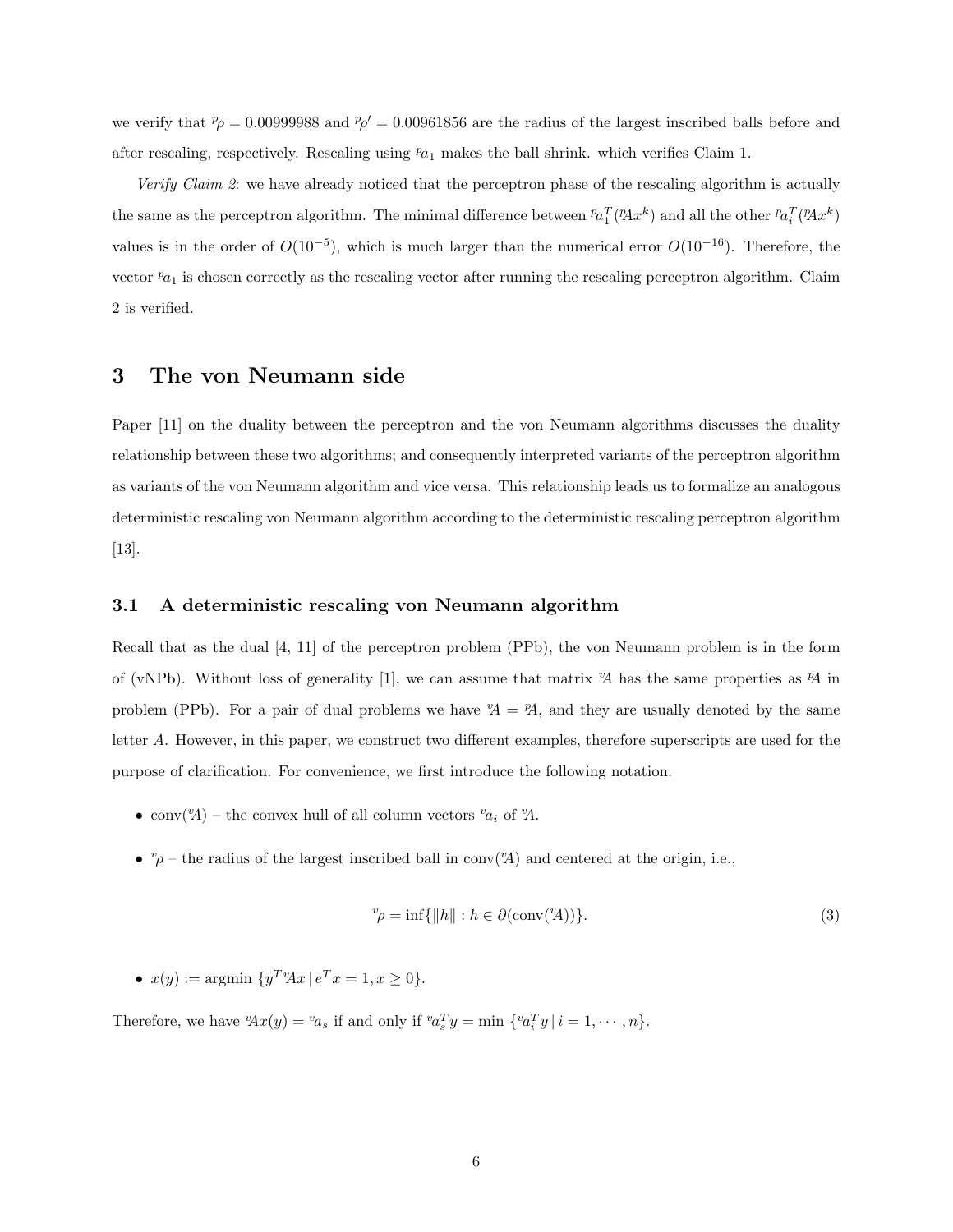we verify that  $p = 0.00999988$  and  $p' = 0.00961856$  are the radius of the largest inscribed balls before and after rescaling, respectively. Rescaling using  $a_1$  makes the ball shrink. which verifies Claim 1.

Verify Claim 2: we have already noticed that the perceptron phase of the rescaling algorithm is actually the same as the perceptron algorithm. The minimal difference between  ${}^p a_1^T({}^p A x^k)$  and all the other  ${}^p a_i^T({}^p A x^k)$ values is in the order of  $O(10^{-5})$ , which is much larger than the numerical error  $O(10^{-16})$ . Therefore, the vector  $p_{a_1}$  is chosen correctly as the rescaling vector after running the rescaling perceptron algorithm. Claim 2 is verified.

## 3 The von Neumann side

Paper [11] on the duality between the perceptron and the von Neumann algorithms discusses the duality relationship between these two algorithms; and consequently interpreted variants of the perceptron algorithm as variants of the von Neumann algorithm and vice versa. This relationship leads us to formalize an analogous deterministic rescaling von Neumann algorithm according to the deterministic rescaling perceptron algorithm [13].

#### 3.1 A deterministic rescaling von Neumann algorithm

Recall that as the dual [4, 11] of the perceptron problem (PPb), the von Neumann problem is in the form of (vNPb). Without loss of generality [1], we can assume that matrix  $\mathcal{A}$  has the same properties as  $\mathcal{A}$  in problem (PPb). For a pair of dual problems we have  $A = A$ , and they are usually denoted by the same letter A. However, in this paper, we construct two different examples, therefore superscripts are used for the purpose of clarification. For convenience, we first introduce the following notation.

- conv $({}^v\!A)$  the convex hull of all column vectors  ${}^v\!a_i$  of  ${}^v\!A$ .
- $^v\rho$  the radius of the largest inscribed ball in conv( $^v\!A$ ) and centered at the origin, i.e.,

$$
{}^{v}\rho = \inf\{\|h\| : h \in \partial(\text{conv}(^vA))\}.
$$
\n(3)

•  $x(y) := \text{argmin} \{ y^T y A x \, | \, e^T x = 1, x \geq 0 \}.$ 

Therefore, we have  ${}^{\nu}\!Ax(y) = {}^{\nu}\!a_s$  if and only if  ${}^{\nu}\!a_s^T y = \min \{ {}^{\nu}\!a_i^T y \mid i = 1, \cdots, n \}.$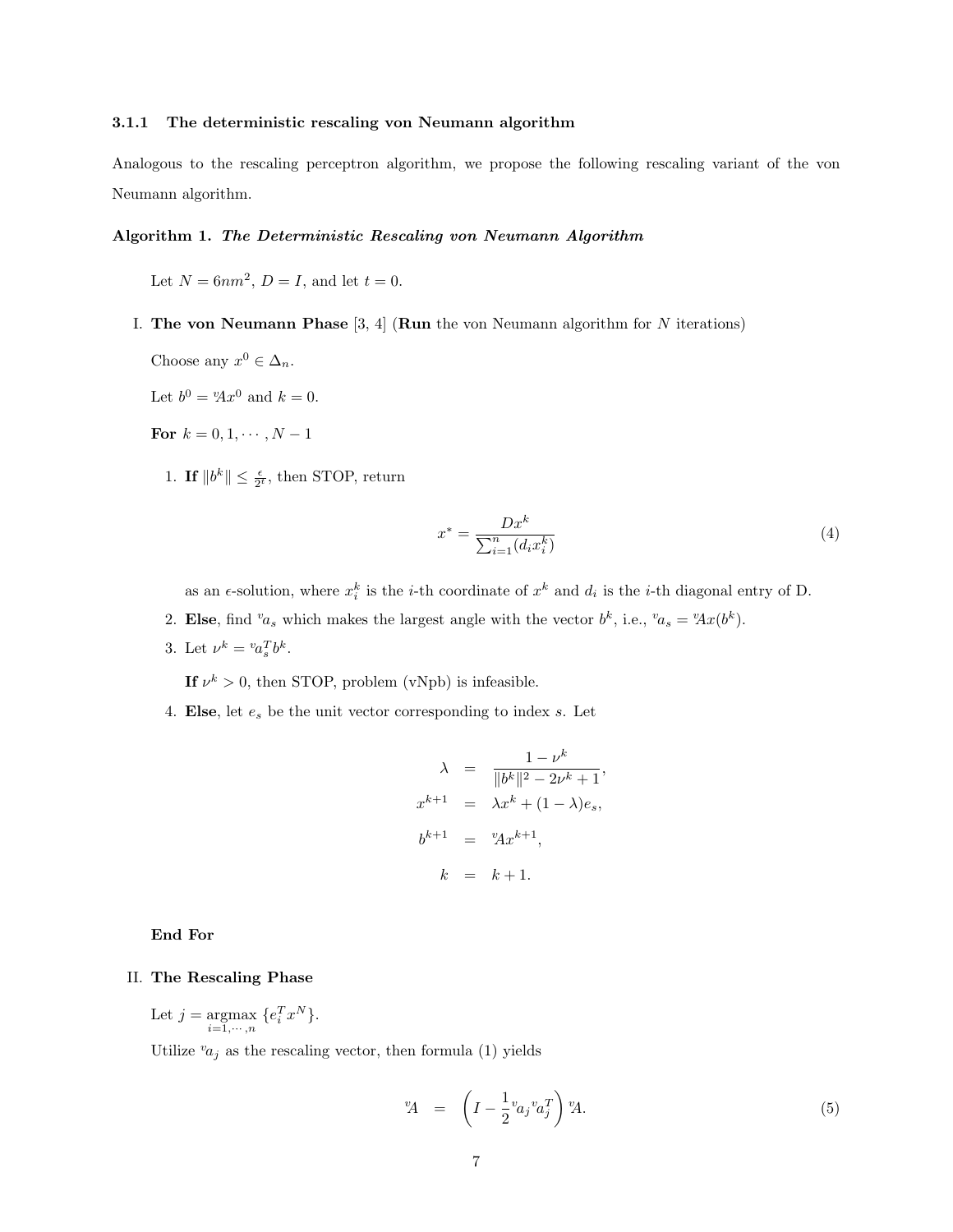#### 3.1.1 The deterministic rescaling von Neumann algorithm

Analogous to the rescaling perceptron algorithm, we propose the following rescaling variant of the von Neumann algorithm.

#### Algorithm 1. The Deterministic Rescaling von Neumann Algorithm

Let  $N = 6nm^2$ ,  $D = I$ , and let  $t = 0$ .

- I. The von Neumann Phase  $[3, 4]$  (Run the von Neumann algorithm for N iterations)
	- Choose any  $x^0 \in \Delta_n$ .

Let  $b^0 = Y^0$  and  $k = 0$ .

For  $k = 0, 1, \cdots, N - 1$ 

1. If  $||b^k|| \leq \frac{\epsilon}{2^t}$ , then STOP, return

$$
x^* = \frac{Dx^k}{\sum_{i=1}^n (d_i x_i^k)}\tag{4}
$$

,

as an  $\epsilon$ -solution, where  $x_i^k$  is the *i*-th coordinate of  $x^k$  and  $d_i$  is the *i*-th diagonal entry of D.

- 2. Else, find  $a_s$  which makes the largest angle with the vector  $b^k$ , i.e.,  $a_s = {}^v\!Ax(b^k)$ .
- 3. Let  $\nu^k = {^v}a_s^Tb^k$ .

If  $\nu^k > 0$ , then STOP, problem (vNpb) is infeasible.

4. Else, let  $e_s$  be the unit vector corresponding to index  $s$ . Let

$$
\lambda = \frac{1 - \nu^k}{\|b^k\|^2 - 2\nu^k + 1}
$$
  

$$
x^{k+1} = \lambda x^k + (1 - \lambda)e_s,
$$
  

$$
b^{k+1} = {}^{v}Ax^{k+1},
$$
  

$$
k = k+1.
$$

#### End For

#### II. The Rescaling Phase

Let  $j = \operatorname*{argmax}_{i=1,\cdots,n} \{e_i^T x^N\}.$ 

Utilize  $v_{a_j}$  as the rescaling vector, then formula (1) yields

$$
{}^{\nu}\!\!A = \left(I - \frac{1}{2} {}^{\nu}\!a_j {}^{\nu}a_j^T\right){}^{\nu}\!A. \tag{5}
$$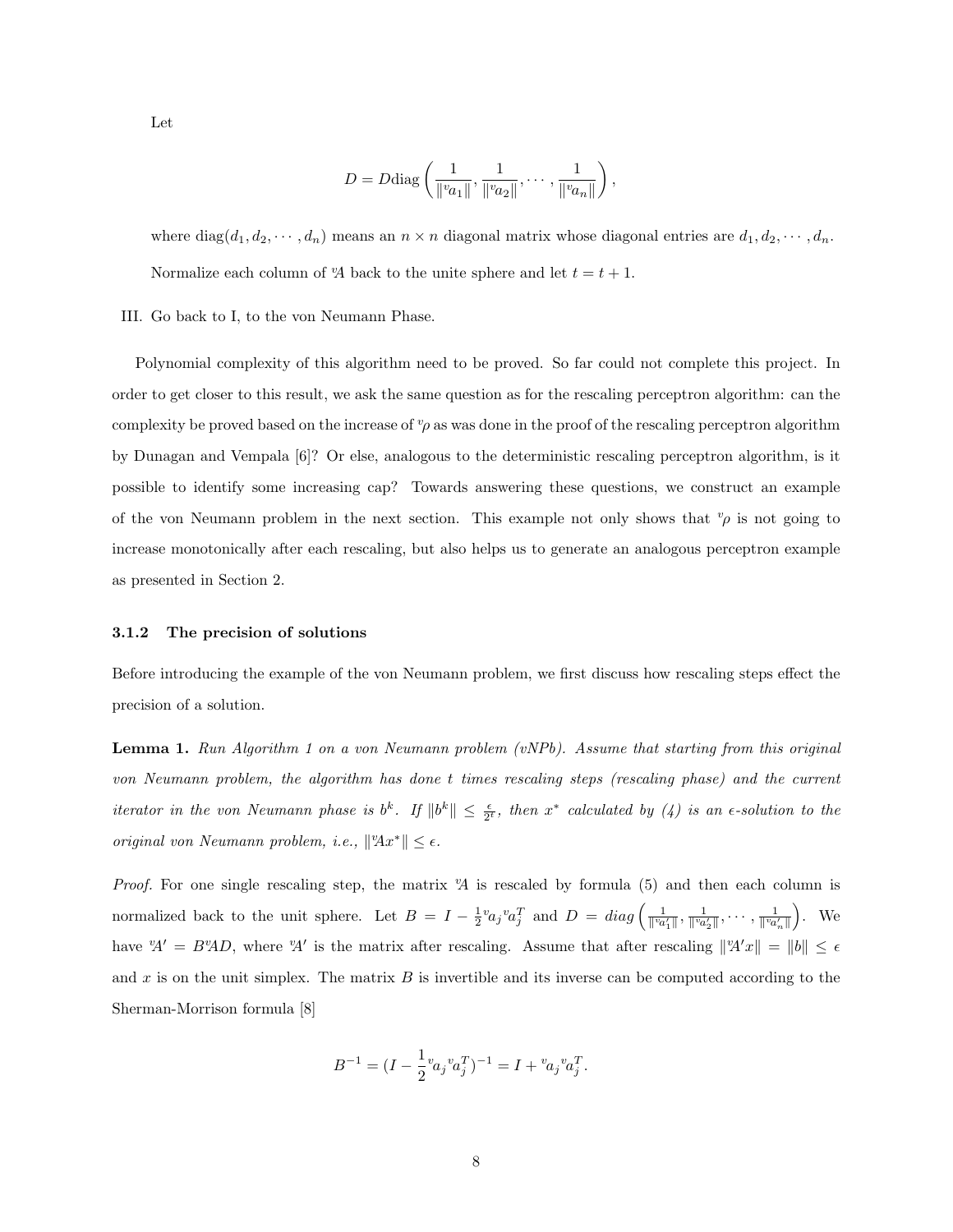Let

$$
D = D \text{diag}\left(\frac{1}{\|v_{a_1}\|}, \frac{1}{\|v_{a_2}\|}, \cdots, \frac{1}{\|v_{a_n}\|}\right),\,
$$

where diag( $d_1, d_2, \dots, d_n$ ) means an  $n \times n$  diagonal matrix whose diagonal entries are  $d_1, d_2, \dots, d_n$ . Normalize each column of  $\mathcal{A}$  back to the unite sphere and let  $t = t + 1$ .

III. Go back to I, to the von Neumann Phase.

Polynomial complexity of this algorithm need to be proved. So far could not complete this project. In order to get closer to this result, we ask the same question as for the rescaling perceptron algorithm: can the complexity be proved based on the increase of  $v<sub>\rho</sub>$  as was done in the proof of the rescaling perceptron algorithm by Dunagan and Vempala [6]? Or else, analogous to the deterministic rescaling perceptron algorithm, is it possible to identify some increasing cap? Towards answering these questions, we construct an example of the von Neumann problem in the next section. This example not only shows that  $\varphi$  is not going to increase monotonically after each rescaling, but also helps us to generate an analogous perceptron example as presented in Section 2.

#### 3.1.2 The precision of solutions

Before introducing the example of the von Neumann problem, we first discuss how rescaling steps effect the precision of a solution.

Lemma 1. Run Algorithm 1 on a von Neumann problem (vNPb). Assume that starting from this original von Neumann problem, the algorithm has done t times rescaling steps (rescaling phase) and the current iterator in the von Neumann phase is  $b^k$ . If  $||b^k|| \leq \frac{\epsilon}{2^t}$ , then  $x^*$  calculated by (4) is an  $\epsilon$ -solution to the original von Neumann problem, i.e.,  $||Ax^*|| \leq \epsilon$ .

*Proof.* For one single rescaling step, the matrix  $A$  is rescaled by formula (5) and then each column is normalized back to the unit sphere. Let  $B = I - \frac{1}{2}v a_j v a_j^T$  and  $D = diag \left( \frac{1}{\|v a_1'\|}, \frac{1}{\|v a_2'\|}, \dots, \frac{1}{\|v a_n'\|} \right)$  $\big)$ . We have  $A' = B'A'D$ , where  $A'$  is the matrix after rescaling. Assume that after rescaling  $||A'x|| = ||b|| \leq \epsilon$ and x is on the unit simplex. The matrix  $B$  is invertible and its inverse can be computed according to the Sherman-Morrison formula [8]

$$
B^{-1} = (I - \frac{1}{2}v_{a_j}v_{a_j}^T)^{-1} = I + v_{a_j}v_{a_j}^T.
$$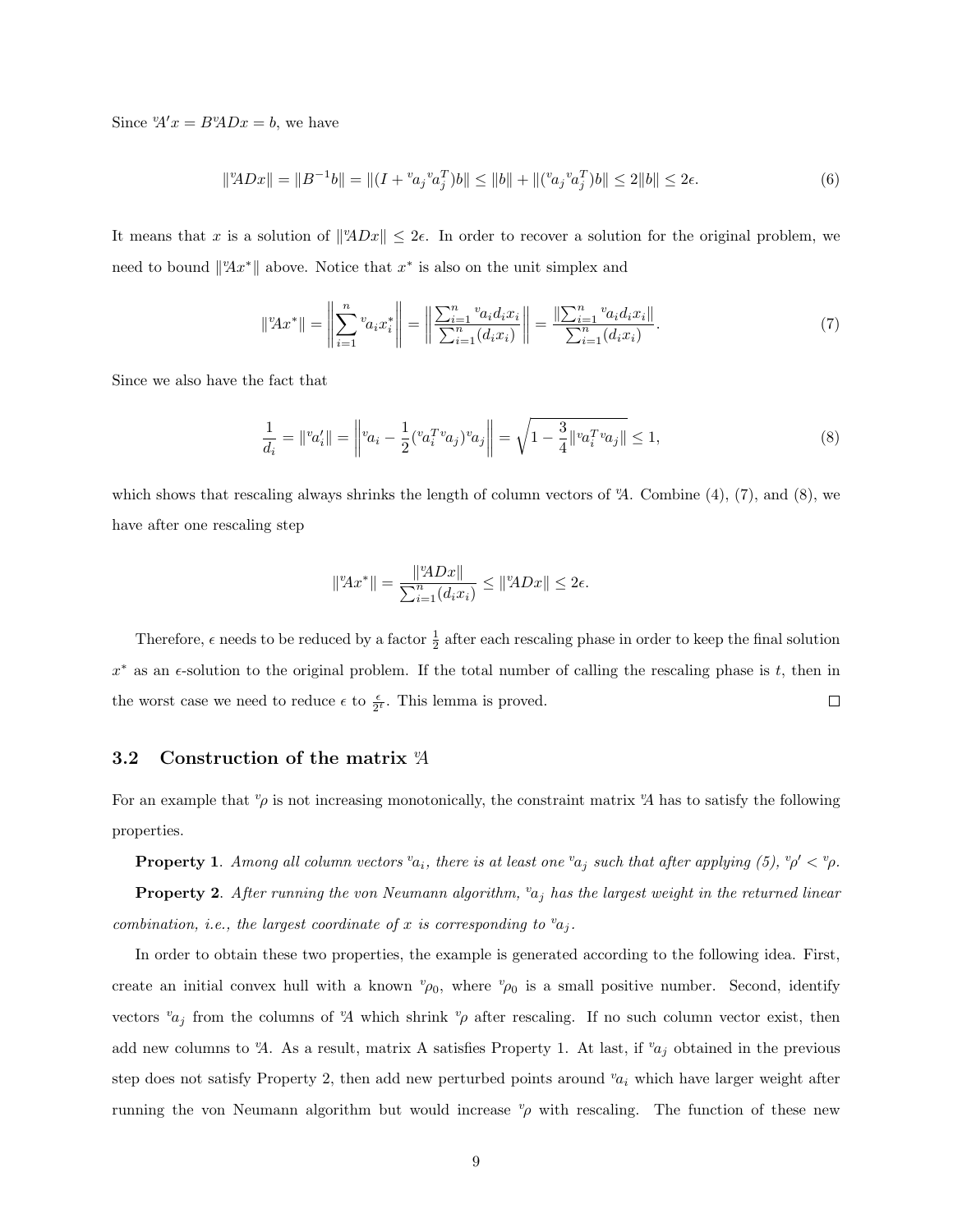Since  $A'x = B^v A D x = b$ , we have

$$
\|{}^{v}\!\!ADx\| = \|B^{-1}b\| = \|(I + {}^{v}\!a_j {}^{v}\!a_j^T)b\| \le \|b\| + \|({}^{v}\!a_j {}^{v}\!a_j^T)b\| \le 2\|b\| \le 2\epsilon. \tag{6}
$$

It means that x is a solution of  $||^{\alpha}ADx|| \leq 2\epsilon$ . In order to recover a solution for the original problem, we need to bound  $\|A x^*\|$  above. Notice that  $x^*$  is also on the unit simplex and

$$
\|^{v}Ax^{*}\| = \left\|\sum_{i=1}^{n} {}^{v}a_{i}x_{i}^{*}\right\| = \left\|\frac{\sum_{i=1}^{n} {}^{v}a_{i}d_{i}x_{i}}{\sum_{i=1}^{n}(d_{i}x_{i})}\right\| = \frac{\left\|\sum_{i=1}^{n} {}^{v}a_{i}d_{i}x_{i}\right\|}{\sum_{i=1}^{n}(d_{i}x_{i})}.
$$
\n(7)

Since we also have the fact that

$$
\frac{1}{d_i} = \|^v a'_i \| = \left\|^v a_i - \frac{1}{2} (^v a_i^T {}^v a_j)^v a_j \right\| = \sqrt{1 - \frac{3}{4} \|^v a_i^T {}^v a_j \|} \le 1,\tag{8}
$$

which shows that rescaling always shrinks the length of column vectors of  $\mathcal{A}$ . Combine (4), (7), and (8), we have after one rescaling step

$$
||^vAx^*|| = \frac{||^vADx||}{\sum_{i=1}^n (d_ix_i)} \le ||^vADx|| \le 2\epsilon.
$$

Therefore,  $\epsilon$  needs to be reduced by a factor  $\frac{1}{2}$  after each rescaling phase in order to keep the final solution  $x^*$  as an  $\epsilon$ -solution to the original problem. If the total number of calling the rescaling phase is t, then in the worst case we need to reduce  $\epsilon$  to  $\frac{\epsilon}{2^t}$ . This lemma is proved.  $\Box$ 

#### 3.2 Construction of the matrix  $\mathcal{A}$

For an example that  $\varphi$  is not increasing monotonically, the constraint matrix  $\mathcal{A}$  has to satisfy the following properties.

**Property 1.** Among all column vectors  $^v a_i$ , there is at least one  $^v a_j$  such that after applying (5),  $^v \rho' < ^v \rho$ .

**Property 2.** After running the von Neumann algorithm,  $v_{a_j}$  has the largest weight in the returned linear combination, i.e., the largest coordinate of x is corresponding to  $a_i$ .

In order to obtain these two properties, the example is generated according to the following idea. First, create an initial convex hull with a known  $v_{\rho_0}$ , where  $v_{\rho_0}$  is a small positive number. Second, identify vectors  $v_{a_j}$  from the columns of  $\mathcal{A}$  which shrink  $v_{\rho}$  after rescaling. If no such column vector exist, then add new columns to  $\mathcal{A}$ . As a result, matrix A satisfies Property 1. At last, if  $v_{a_j}$  obtained in the previous step does not satisfy Property 2, then add new perturbed points around  $v_{a_i}$  which have larger weight after running the von Neumann algorithm but would increase  $\psi$  with rescaling. The function of these new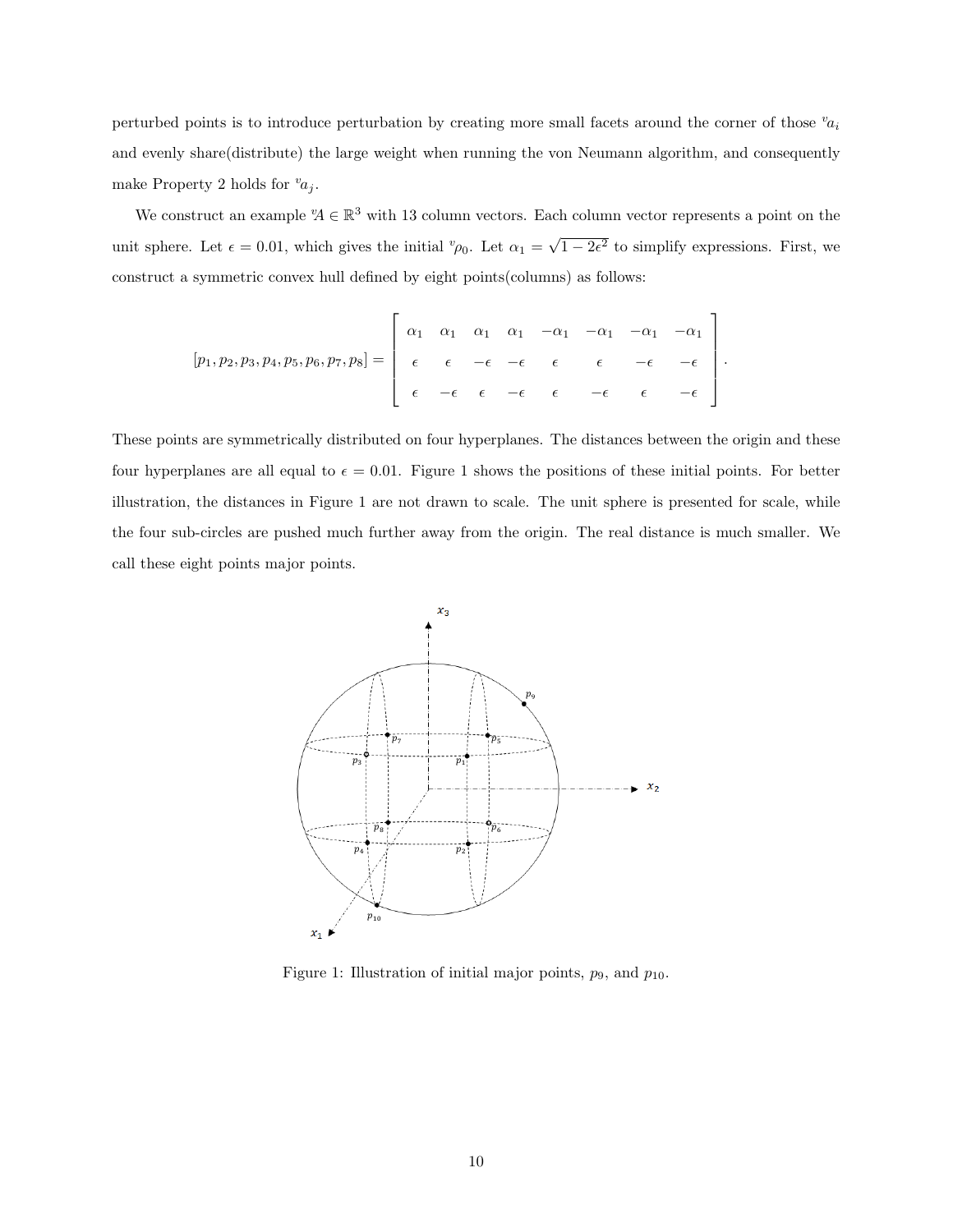perturbed points is to introduce perturbation by creating more small facets around the corner of those  $v_{a_i}$ and evenly share(distribute) the large weight when running the von Neumann algorithm, and consequently make Property 2 holds for  $a_i$ .

We construct an example  $A \in \mathbb{R}^3$  with 13 column vectors. Each column vector represents a point on the unit sphere. Let  $\epsilon = 0.01$ , which gives the initial  $v_{\rho_0}$ . Let  $\alpha_1 = \sqrt{\frac{\mu_0}{\rho_0}}$  $\overline{1-2\epsilon^2}$  to simplify expressions. First, we construct a symmetric convex hull defined by eight points(columns) as follows:

$$
[p_1, p_2, p_3, p_4, p_5, p_6, p_7, p_8] = \left[\begin{array}{cccccc} \alpha_1 & \alpha_1 & \alpha_1 & \alpha_1 & -\alpha_1 & -\alpha_1 & -\alpha_1 & -\alpha_1 \\ \epsilon & \epsilon & -\epsilon & -\epsilon & \epsilon & \epsilon & -\epsilon & -\epsilon \\ \epsilon & -\epsilon & \epsilon & -\epsilon & \epsilon & -\epsilon & \epsilon & -\epsilon \end{array}\right].
$$

These points are symmetrically distributed on four hyperplanes. The distances between the origin and these four hyperplanes are all equal to  $\epsilon = 0.01$ . Figure 1 shows the positions of these initial points. For better illustration, the distances in Figure 1 are not drawn to scale. The unit sphere is presented for scale, while the four sub-circles are pushed much further away from the origin. The real distance is much smaller. We call these eight points major points.



Figure 1: Illustration of initial major points,  $p_9$ , and  $p_{10}$ .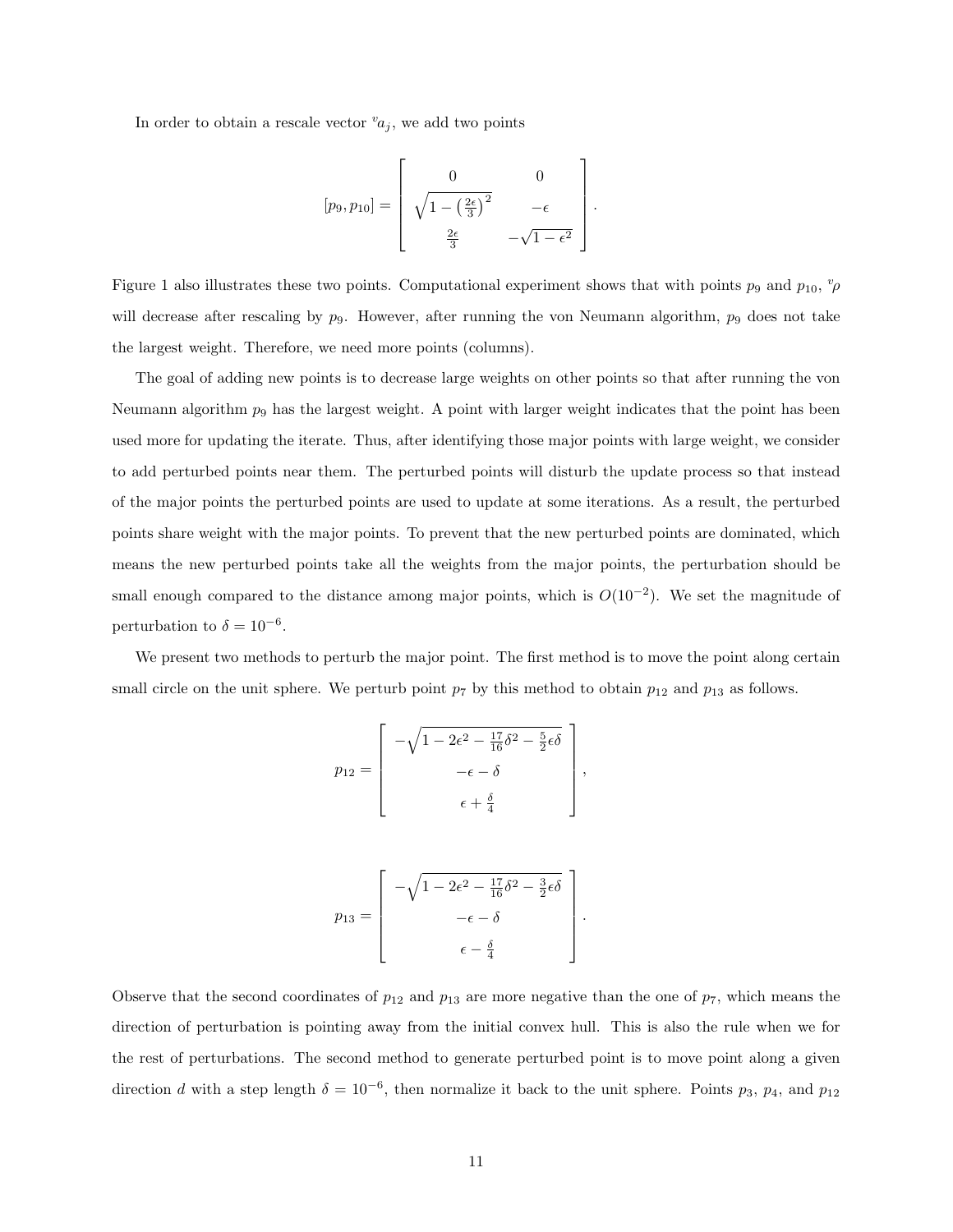In order to obtain a rescale vector  $a_i$ , we add two points

$$
[p_9, p_{10}] = \left[ \begin{array}{cc} 0 & 0 \\ \sqrt{1 - \left(\frac{2\epsilon}{3}\right)^2} & -\epsilon \\ \frac{2\epsilon}{3} & -\sqrt{1 - \epsilon^2} \end{array} \right].
$$

Figure 1 also illustrates these two points. Computational experiment shows that with points  $p_9$  and  $p_{10}$ ,  $\alpha_p$ will decrease after rescaling by  $p_9$ . However, after running the von Neumann algorithm,  $p_9$  does not take the largest weight. Therefore, we need more points (columns).

The goal of adding new points is to decrease large weights on other points so that after running the von Neumann algorithm  $p_9$  has the largest weight. A point with larger weight indicates that the point has been used more for updating the iterate. Thus, after identifying those major points with large weight, we consider to add perturbed points near them. The perturbed points will disturb the update process so that instead of the major points the perturbed points are used to update at some iterations. As a result, the perturbed points share weight with the major points. To prevent that the new perturbed points are dominated, which means the new perturbed points take all the weights from the major points, the perturbation should be small enough compared to the distance among major points, which is  $O(10^{-2})$ . We set the magnitude of perturbation to  $\delta = 10^{-6}$ .

We present two methods to perturb the major point. The first method is to move the point along certain small circle on the unit sphere. We perturb point  $p_7$  by this method to obtain  $p_{12}$  and  $p_{13}$  as follows.

,

$$
p_{12} = \begin{bmatrix} -\sqrt{1 - 2\epsilon^2 - \frac{17}{16}\delta^2 - \frac{5}{2}\epsilon\delta} \\ -\epsilon - \delta \\ \epsilon + \frac{\delta}{4} \end{bmatrix}
$$

$$
p_{13} = \begin{bmatrix} -\sqrt{1 - 2\epsilon^2 - \frac{17}{16}\delta^2 - \frac{3}{2}\epsilon\delta} \\ -\epsilon - \delta \\ \epsilon - \frac{\delta}{4} \end{bmatrix}.
$$

Observe that the second coordinates of  $p_{12}$  and  $p_{13}$  are more negative than the one of  $p_7$ , which means the direction of perturbation is pointing away from the initial convex hull. This is also the rule when we for the rest of perturbations. The second method to generate perturbed point is to move point along a given direction d with a step length  $\delta = 10^{-6}$ , then normalize it back to the unit sphere. Points  $p_3$ ,  $p_4$ , and  $p_{12}$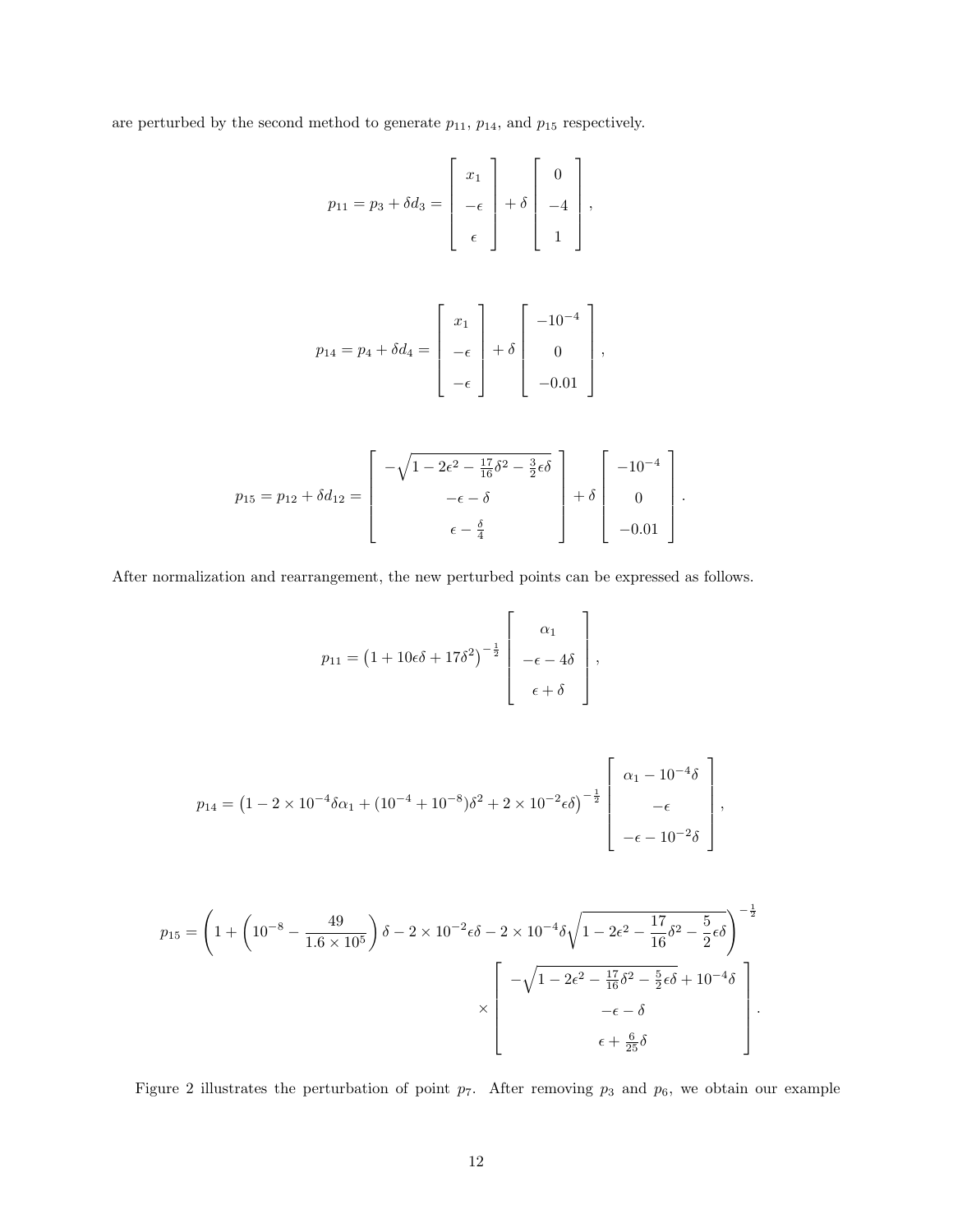are perturbed by the second method to generate  $p_{11}$ ,  $p_{14}$ , and  $p_{15}$  respectively.

$$
p_{11} = p_3 + \delta d_3 = \begin{bmatrix} x_1 \\ -\epsilon \\ \epsilon \end{bmatrix} + \delta \begin{bmatrix} 0 \\ -4 \\ 1 \end{bmatrix},
$$

$$
p_{14} = p_4 + \delta d_4 = \begin{bmatrix} x_1 \\ -\epsilon \\ -\epsilon \end{bmatrix} + \delta \begin{bmatrix} -10^{-4} \\ 0 \\ -0.01 \end{bmatrix},
$$

$$
p_{15} = p_{12} + \delta d_{12} = \begin{bmatrix} -\sqrt{1 - 2\epsilon^2 - \frac{17}{16}\delta^2 - \frac{3}{2}\epsilon\delta} \\ -\epsilon - \delta \\ \epsilon - \frac{\delta}{4} \end{bmatrix} + \delta \begin{bmatrix} -10^{-4} \\ 0 \\ -0.01 \end{bmatrix}.
$$

After normalization and rearrangement, the new perturbed points can be expressed as follows.

$$
p_{11} = \left(1 + 10\epsilon\delta + 17\delta^2\right)^{-\frac{1}{2}} \left[\begin{array}{c} \alpha_1 \\ -\epsilon - 4\delta \\ \epsilon + \delta \end{array}\right],
$$

$$
p_{14} = (1 - 2 \times 10^{-4} \delta \alpha_1 + (10^{-4} + 10^{-8}) \delta^2 + 2 \times 10^{-2} \epsilon \delta)^{-\frac{1}{2}} \begin{bmatrix} \alpha_1 - 10^{-4} \delta \\ -\epsilon \\ -\epsilon - 10^{-2} \delta \end{bmatrix},
$$

$$
p_{15} = \left(1 + \left(10^{-8} - \frac{49}{1.6 \times 10^5}\right)\delta - 2 \times 10^{-2} \epsilon \delta - 2 \times 10^{-4} \delta \sqrt{1 - 2\epsilon^2 - \frac{17}{16} \delta^2 - \frac{5}{2} \epsilon \delta}\right)^{-\frac{1}{2}}
$$

$$
\times \left[\begin{array}{c} -\sqrt{1 - 2\epsilon^2 - \frac{17}{16} \delta^2 - \frac{5}{2} \epsilon \delta + 10^{-4} \delta} \\ -\epsilon - \delta \\ \epsilon + \frac{6}{25} \delta \end{array}\right].
$$

Figure 2 illustrates the perturbation of point  $p_7$ . After removing  $p_3$  and  $p_6$ , we obtain our example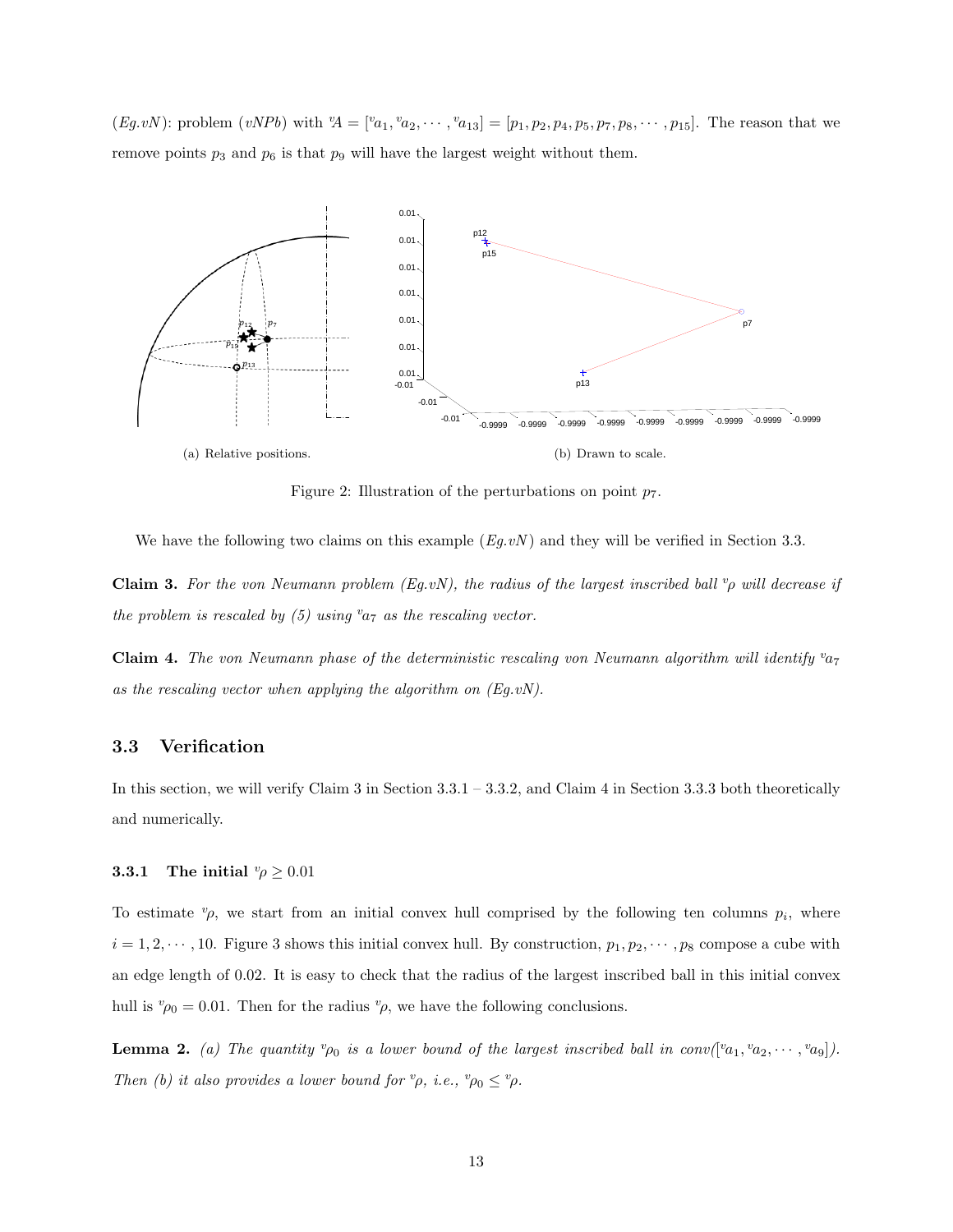$(Eg.vN)$ : problem  $(vNPb)$  with  ${}^v\!A = [{}^v\!a_1, {}^v\!a_2, \cdots, {}^v\!a_{13}] = [p_1, p_2, p_4, p_5, p_7, p_8, \cdots, p_{15}]$ . The reason that we remove points  $p_3$  and  $p_6$  is that  $p_9$  will have the largest weight without them.



Figure 2: Illustration of the perturbations on point  $p_7$ .

We have the following two claims on this example  $(Eq,vN)$  and they will be verified in Section 3.3.

Claim 3. For the von Neumann problem (Eg.vN), the radius of the largest inscribed ball  $\varphi$  will decrease if the problem is rescaled by (5) using  $a_7$  as the rescaling vector.

**Claim 4.** The von Neumann phase of the deterministic rescaling von Neumann algorithm will identify  $v_{a7}$ as the rescaling vector when applying the algorithm on  $(Eq.vN)$ .

#### 3.3 Verification

In this section, we will verify Claim 3 in Section 3.3.1 – 3.3.2, and Claim 4 in Section 3.3.3 both theoretically and numerically.

#### **3.3.1** The initial  $\psi \geq 0.01$

To estimate  $\varphi$ , we start from an initial convex hull comprised by the following ten columns  $p_i$ , where  $i = 1, 2, \dots, 10$ . Figure 3 shows this initial convex hull. By construction,  $p_1, p_2, \dots, p_8$  compose a cube with an edge length of 0.02. It is easy to check that the radius of the largest inscribed ball in this initial convex hull is  $v_{\rho_0} = 0.01$ . Then for the radius  $v_{\rho}$ , we have the following conclusions.

**Lemma 2.** (a) The quantity  ${}^v\rho_0$  is a lower bound of the largest inscribed ball in conv( $[{}^v a_1, {}^v a_2, \cdots, {}^v a_9]$ ). Then (b) it also provides a lower bound for  ${}^v\rho$ , i.e.,  ${}^v\rho_0 \leq {}^v\rho$ .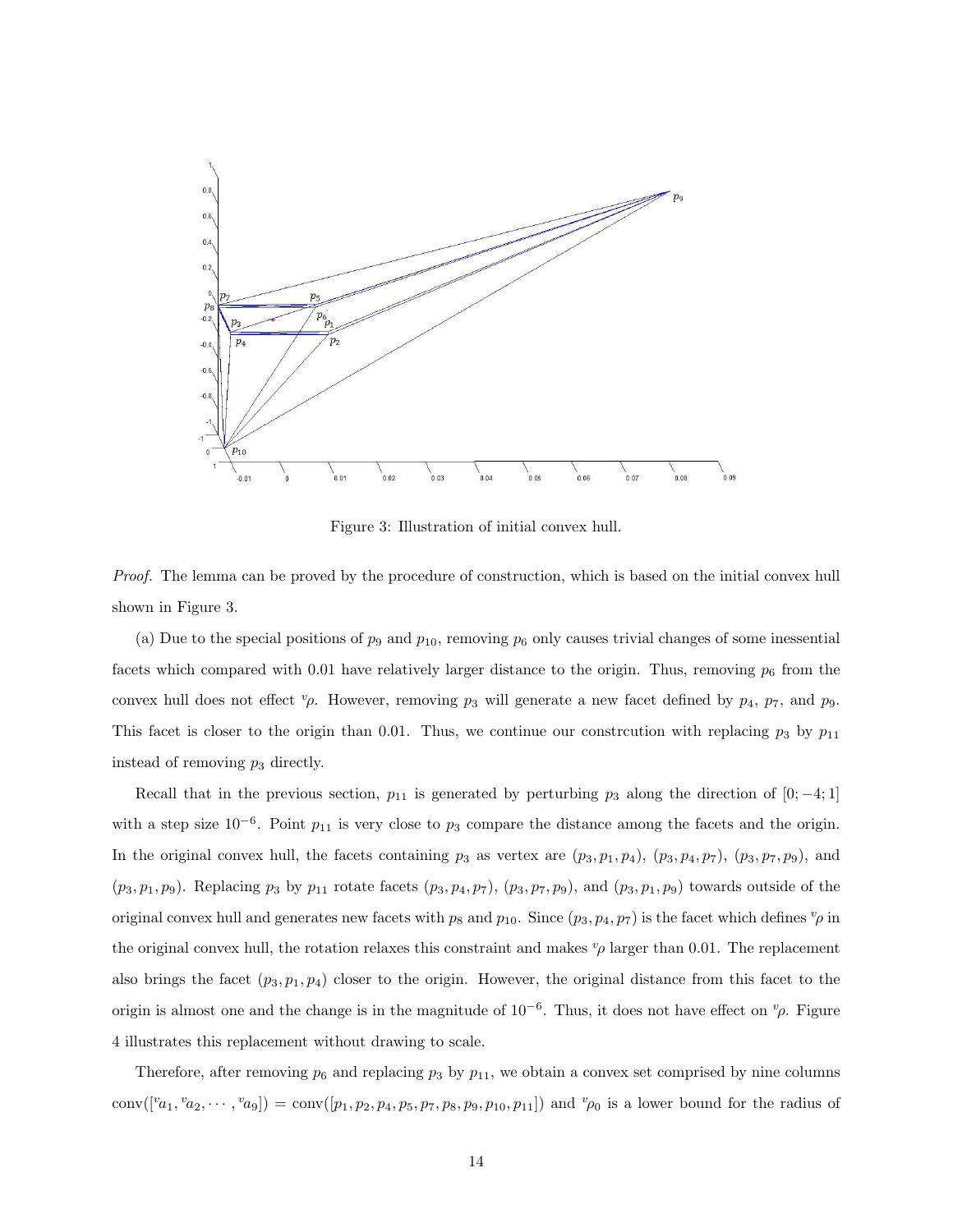

Figure 3: Illustration of initial convex hull.

Proof. The lemma can be proved by the procedure of construction, which is based on the initial convex hull shown in Figure 3.

(a) Due to the special positions of  $p_9$  and  $p_{10}$ , removing  $p_6$  only causes trivial changes of some inessential facets which compared with 0.01 have relatively larger distance to the origin. Thus, removing  $p_6$  from the convex hull does not effect  $\psi$ . However, removing  $p_3$  will generate a new facet defined by  $p_4$ ,  $p_7$ , and  $p_9$ . This facet is closer to the origin than 0.01. Thus, we continue our constrcution with replacing  $p_3$  by  $p_{11}$ instead of removing  $p_3$  directly.

Recall that in the previous section,  $p_{11}$  is generated by perturbing  $p_3$  along the direction of [0; -4; 1] with a step size  $10^{-6}$ . Point  $p_{11}$  is very close to  $p_3$  compare the distance among the facets and the origin. In the original convex hull, the facets containing  $p_3$  as vertex are  $(p_3, p_1, p_4)$ ,  $(p_3, p_4, p_7)$ ,  $(p_3, p_7, p_9)$ , and  $(p_3, p_1, p_9)$ . Replacing  $p_3$  by  $p_{11}$  rotate facets  $(p_3, p_4, p_7)$ ,  $(p_3, p_7, p_9)$ , and  $(p_3, p_1, p_9)$  towards outside of the original convex hull and generates new facets with  $p_8$  and  $p_{10}$ . Since  $(p_3, p_4, p_7)$  is the facet which defines  $v_p$  in the original convex hull, the rotation relaxes this constraint and makes  $v_p$  larger than 0.01. The replacement also brings the facet  $(p_3, p_1, p_4)$  closer to the origin. However, the original distance from this facet to the origin is almost one and the change is in the magnitude of  $10^{-6}$ . Thus, it does not have effect on  $^v\rho$ . Figure 4 illustrates this replacement without drawing to scale.

Therefore, after removing  $p_6$  and replacing  $p_3$  by  $p_{11}$ , we obtain a convex set comprised by nine columns conv $([{}^{v}a_1, {}^{v}a_2, \cdots, {}^{v}a_9]) = \text{conv}([p_1, p_2, p_4, p_5, p_7, p_8, p_9, p_{10}, p_{11}])$  and  ${}^{v}\rho_0$  is a lower bound for the radius of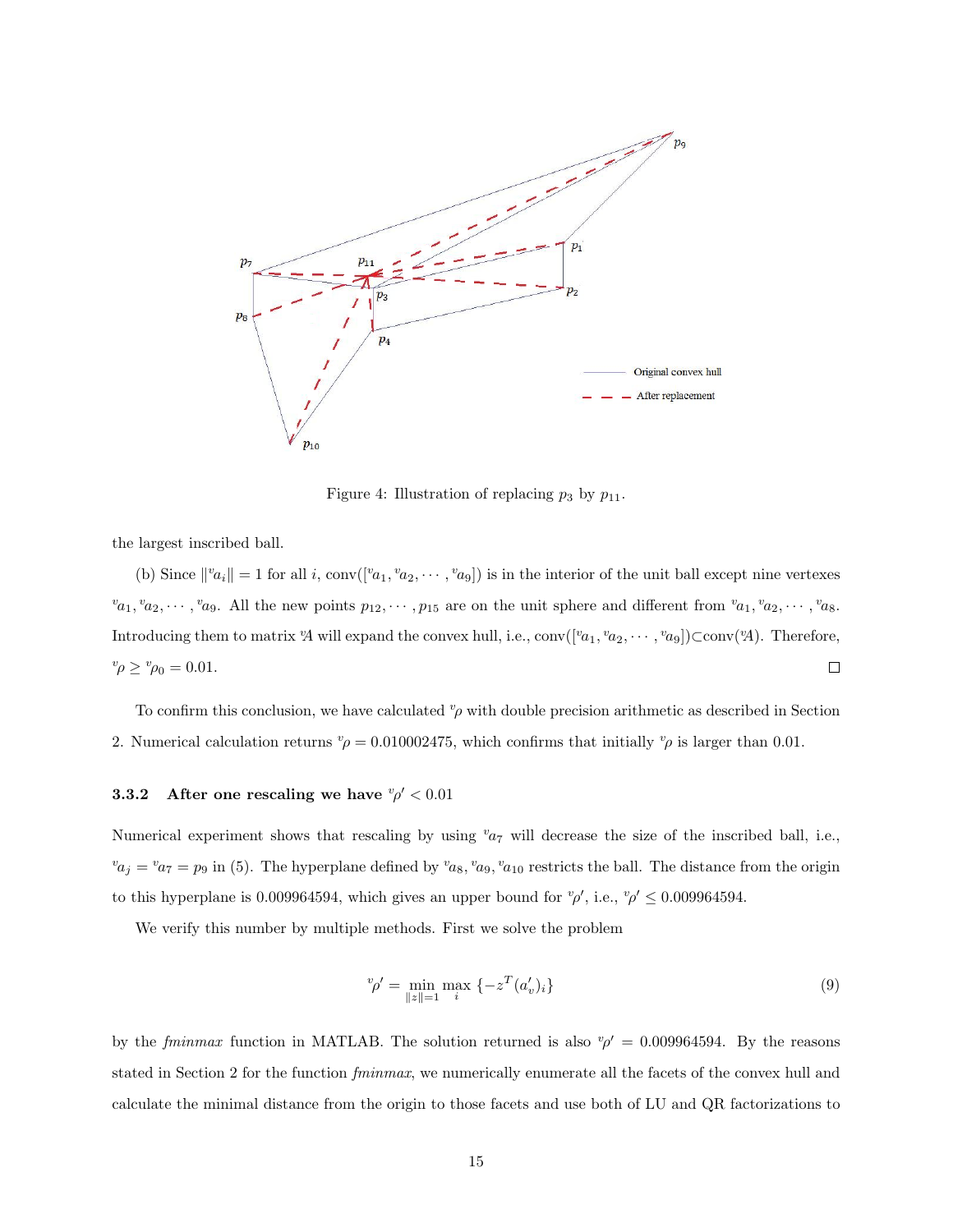

Figure 4: Illustration of replacing  $p_3$  by  $p_{11}$ .

the largest inscribed ball.

(b) Since  $||^v a_i|| = 1$  for all i, conv( $[{}^v a_1, {}^v a_2, \cdots, {}^v a_9]$ ) is in the interior of the unit ball except nine vertexes  $v_{a_1}, v_{a_2}, \dots, v_{a_9}$ . All the new points  $p_{12}, \dots, p_{15}$  are on the unit sphere and different from  $v_{a_1}, v_{a_2}, \dots, v_{a_8}$ . Introducing them to matrix 'A will expand the convex hull, i.e.,  $conv([{}^v a_1, {}^v a_2, \cdots, {}^v a_9])$ C $conv({}^v A)$ . Therefore,  $v_p \ge v_{p_0} = 0.01.$  $\Box$ 

To confirm this conclusion, we have calculated  $\varphi$  with double precision arithmetic as described in Section 2. Numerical calculation returns  $v\rho = 0.010002475$ , which confirms that initially  $v\rho$  is larger than 0.01.

#### **3.3.2** After one rescaling we have  $\psi \sim 0.01$

Numerical experiment shows that rescaling by using  $v_{a7}$  will decrease the size of the inscribed ball, i.e.,  $v_{a_j} = v_{a_7} = p_9$  in (5). The hyperplane defined by  $v_{a_8}$ ,  $v_{a_9}$ ,  $v_{a_{10}}$  restricts the ball. The distance from the origin to this hyperplane is 0.009964594, which gives an upper bound for  $\varphi'$ , i.e.,  $\varphi' \leq 0.009964594$ .

We verify this number by multiple methods. First we solve the problem

$$
{}^{v}\rho' = \min_{\|z\|=1} \max_{i} \left\{-z^{T}(a'_{v})_{i}\right\} \tag{9}
$$

by the fminmax function in MATLAB. The solution returned is also  $\sqrt[p]{ } = 0.009964594$ . By the reasons stated in Section 2 for the function *fminmax*, we numerically enumerate all the facets of the convex hull and calculate the minimal distance from the origin to those facets and use both of LU and QR factorizations to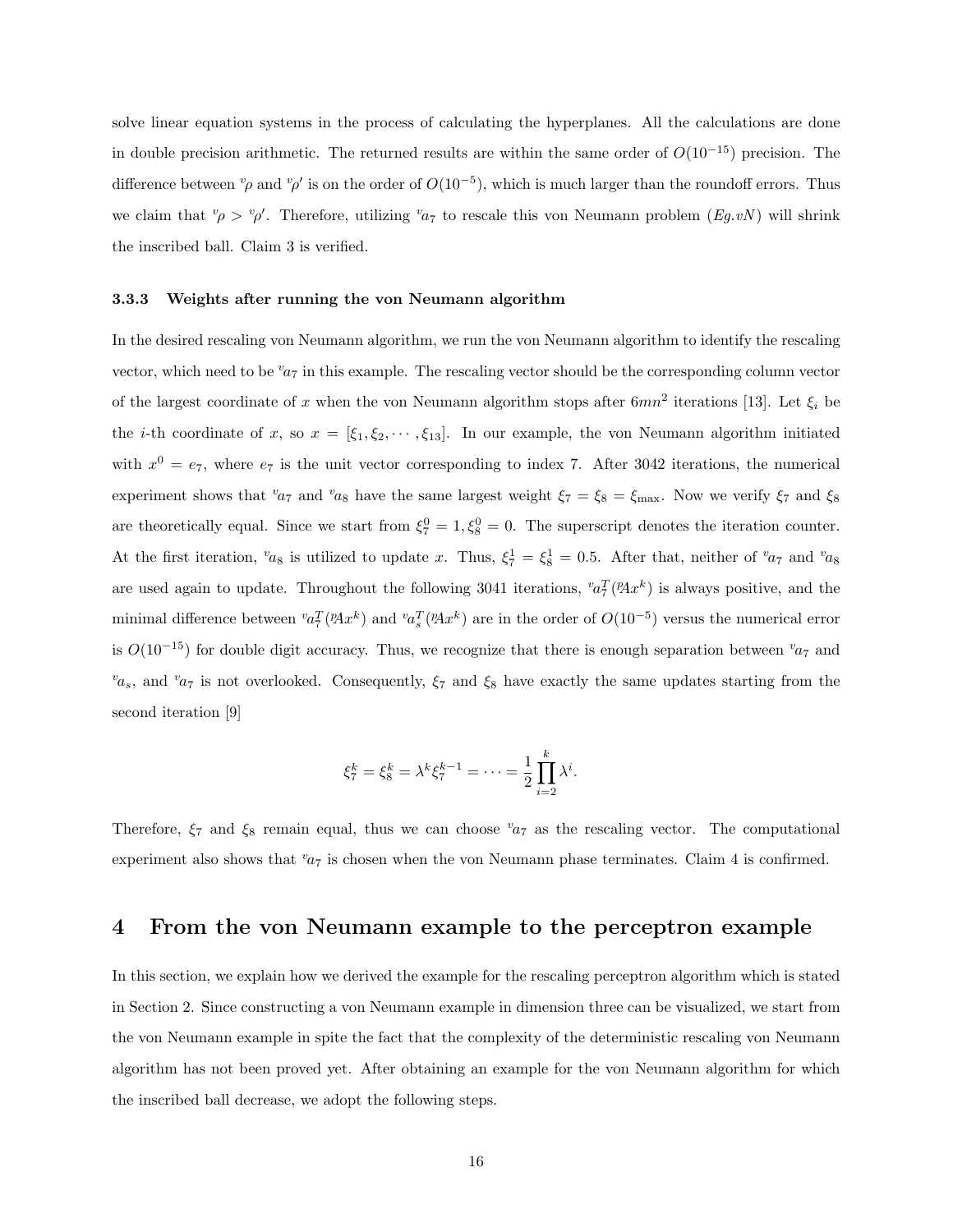solve linear equation systems in the process of calculating the hyperplanes. All the calculations are done in double precision arithmetic. The returned results are within the same order of  $O(10^{-15})$  precision. The difference between  $^v\rho$  and  $^v\rho'$  is on the order of  $O(10^{-5})$ , which is much larger than the roundoff errors. Thus we claim that  $\psi \to \psi'$ . Therefore, utilizing  $v_{a}$  to rescale this von Neumann problem  $(Eg.vN)$  will shrink the inscribed ball. Claim 3 is verified.

#### 3.3.3 Weights after running the von Neumann algorithm

In the desired rescaling von Neumann algorithm, we run the von Neumann algorithm to identify the rescaling vector, which need to be  $v_{a7}$  in this example. The rescaling vector should be the corresponding column vector of the largest coordinate of x when the von Neumann algorithm stops after  $6mn^2$  iterations [13]. Let  $\xi_i$  be the *i*-th coordinate of x, so  $x = [\xi_1, \xi_2, \dots, \xi_{13}]$ . In our example, the von Neumann algorithm initiated with  $x^0 = e_7$ , where  $e_7$  is the unit vector corresponding to index 7. After 3042 iterations, the numerical experiment shows that  $v_{a7}$  and  $v_{a8}$  have the same largest weight  $\xi_7 = \xi_8 = \xi_{\text{max}}$ . Now we verify  $\xi_7$  and  $\xi_8$ are theoretically equal. Since we start from  $\xi_7^0 = 1, \xi_8^0 = 0$ . The superscript denotes the iteration counter. At the first iteration,  $v_{a_8}$  is utilized to update x. Thus,  $\xi_7^1 = \xi_8^1 = 0.5$ . After that, neither of  $v_{a_7}$  and  $v_{a_8}$ are used again to update. Throughout the following 3041 iterations,  ${}^v a^T_7(PAx^k)$  is always positive, and the minimal difference between  ${}^{v}a_7^T({}^p\!Ax^k)$  and  ${}^{v}a_s^T({}^p\!Ax^k)$  are in the order of  $O(10^{-5})$  versus the numerical error is  $O(10^{-15})$  for double digit accuracy. Thus, we recognize that there is enough separation between  $v_{a7}$  and  $v_{\alpha_s}$ , and  $v_{\alpha_7}$  is not overlooked. Consequently,  $\xi_7$  and  $\xi_8$  have exactly the same updates starting from the second iteration [9]

$$
\xi_7^k = \xi_8^k = \lambda^k \xi_7^{k-1} = \dots = \frac{1}{2} \prod_{i=2}^k \lambda^i.
$$

Therefore,  $\xi_7$  and  $\xi_8$  remain equal, thus we can choose  $v_{a7}$  as the rescaling vector. The computational experiment also shows that  $a_7$  is chosen when the von Neumann phase terminates. Claim 4 is confirmed.

## 4 From the von Neumann example to the perceptron example

In this section, we explain how we derived the example for the rescaling perceptron algorithm which is stated in Section 2. Since constructing a von Neumann example in dimension three can be visualized, we start from the von Neumann example in spite the fact that the complexity of the deterministic rescaling von Neumann algorithm has not been proved yet. After obtaining an example for the von Neumann algorithm for which the inscribed ball decrease, we adopt the following steps.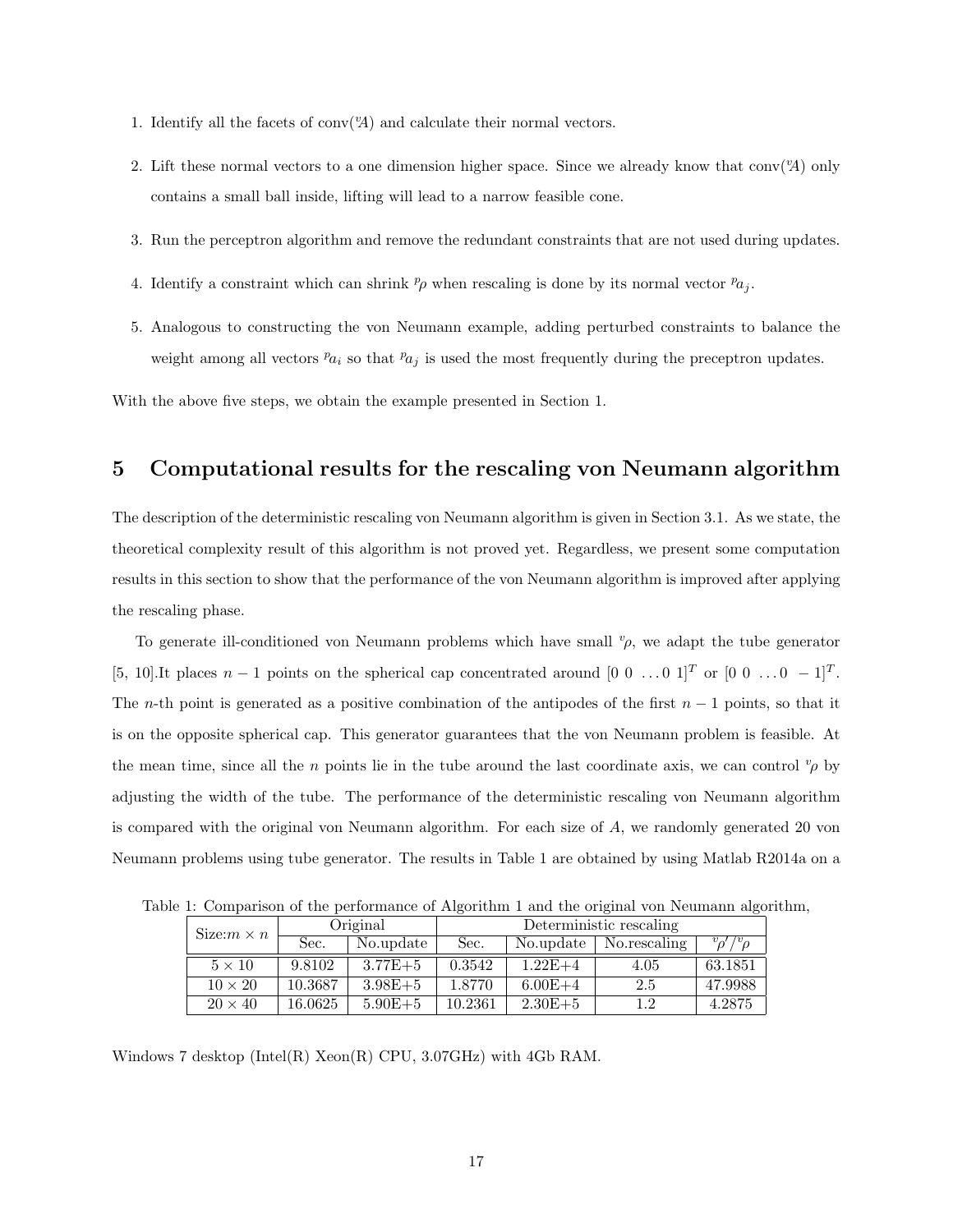- 1. Identify all the facets of conv $({}^{\nu}A)$  and calculate their normal vectors.
- 2. Lift these normal vectors to a one dimension higher space. Since we already know that conv( $\mathcal{A}$ ) only contains a small ball inside, lifting will lead to a narrow feasible cone.
- 3. Run the perceptron algorithm and remove the redundant constraints that are not used during updates.
- 4. Identify a constraint which can shrink  $p_\rho$  when rescaling is done by its normal vector  $p_{a_i}$ .
- 5. Analogous to constructing the von Neumann example, adding perturbed constraints to balance the weight among all vectors  $p_{a_i}$  so that  $p_{a_j}$  is used the most frequently during the preceptron updates.

With the above five steps, we obtain the example presented in Section 1.

## 5 Computational results for the rescaling von Neumann algorithm

The description of the deterministic rescaling von Neumann algorithm is given in Section 3.1. As we state, the theoretical complexity result of this algorithm is not proved yet. Regardless, we present some computation results in this section to show that the performance of the von Neumann algorithm is improved after applying the rescaling phase.

To generate ill-conditioned von Neumann problems which have small  $\varphi$ , we adapt the tube generator [5, 10].It places  $n-1$  points on the spherical cap concentrated around  $[0\ 0\ \ldots 0\ 1]^T$  or  $[0\ 0\ \ldots 0\ -1]^T$ . The n-th point is generated as a positive combination of the antipodes of the first  $n-1$  points, so that it is on the opposite spherical cap. This generator guarantees that the von Neumann problem is feasible. At the mean time, since all the n points lie in the tube around the last coordinate axis, we can control  $\varphi$  by adjusting the width of the tube. The performance of the deterministic rescaling von Neumann algorithm is compared with the original von Neumann algorithm. For each size of A, we randomly generated 20 von Neumann problems using tube generator. The results in Table 1 are obtained by using Matlab R2014a on a

Table 1: Comparison of the performance of Algorithm 1 and the original von Neumann algorithm,

|  | Size: $m \times n$ | Original |             | Deterministic rescaling |             |              |                       |
|--|--------------------|----------|-------------|-------------------------|-------------|--------------|-----------------------|
|  |                    | Sec.     | No.update   | Sec.                    | No.update   | No.rescaling | $v_{\rho}$ '/' $\rho$ |
|  | $5 \times 10$      | 9.8102   | $3.77E + 5$ | 0.3542                  | $1.22E+4$   | 4.05         | 63.1851               |
|  | $10 \times 20$     | 10.3687  | $3.98E + 5$ | 1.8770                  | $6.00E + 4$ | 2.5          | 47.9988               |
|  | $20 \times 40$     | 16.0625  | $5.90E + 5$ | 10.2361                 | $2.30E + 5$ | 12           | 4.2875                |

Windows 7 desktop (Intel(R) Xeon(R) CPU, 3.07GHz) with 4Gb RAM.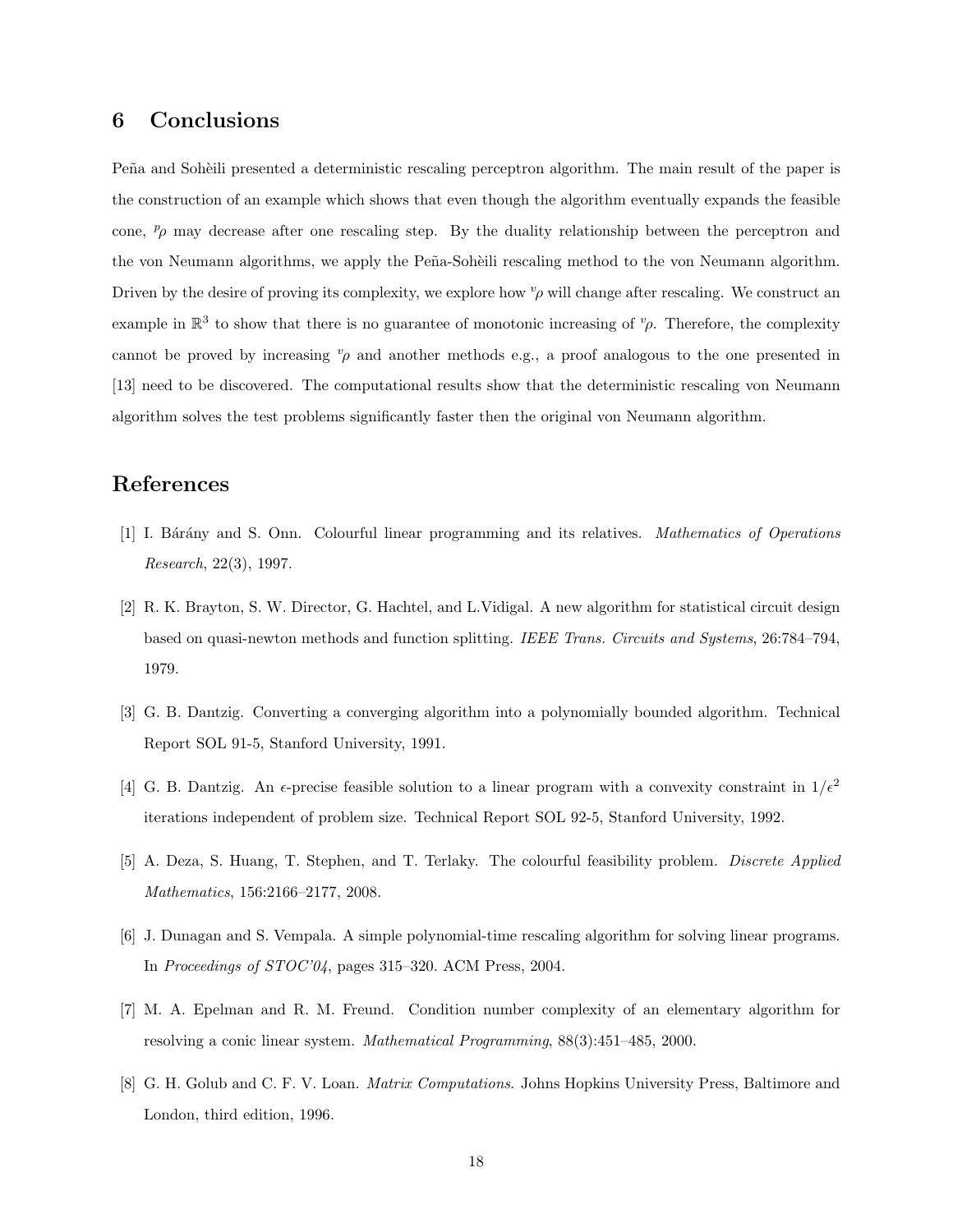## 6 Conclusions

Peña and Sohèili presented a deterministic rescaling perceptron algorithm. The main result of the paper is the construction of an example which shows that even though the algorithm eventually expands the feasible cone,  $p<sub>\rho</sub>$  may decrease after one rescaling step. By the duality relationship between the perceptron and the von Neumann algorithms, we apply the Peña-Sohèili rescaling method to the von Neumann algorithm. Driven by the desire of proving its complexity, we explore how  $v<sub>\rho</sub>$  will change after rescaling. We construct an example in  $\mathbb{R}^3$  to show that there is no guarantee of monotonic increasing of  $^v\rho$ . Therefore, the complexity cannot be proved by increasing  $v<sub>\rho</sub>$  and another methods e.g., a proof analogous to the one presented in [13] need to be discovered. The computational results show that the deterministic rescaling von Neumann algorithm solves the test problems significantly faster then the original von Neumann algorithm.

## References

- [1] I. Bárány and S. Onn. Colourful linear programming and its relatives. Mathematics of Operations Research, 22(3), 1997.
- [2] R. K. Brayton, S. W. Director, G. Hachtel, and L.Vidigal. A new algorithm for statistical circuit design based on quasi-newton methods and function splitting. IEEE Trans. Circuits and Systems, 26:784–794, 1979.
- [3] G. B. Dantzig. Converting a converging algorithm into a polynomially bounded algorithm. Technical Report SOL 91-5, Stanford University, 1991.
- [4] G. B. Dantzig. An  $\epsilon$ -precise feasible solution to a linear program with a convexity constraint in  $1/\epsilon^2$ iterations independent of problem size. Technical Report SOL 92-5, Stanford University, 1992.
- [5] A. Deza, S. Huang, T. Stephen, and T. Terlaky. The colourful feasibility problem. Discrete Applied Mathematics, 156:2166–2177, 2008.
- [6] J. Dunagan and S. Vempala. A simple polynomial-time rescaling algorithm for solving linear programs. In Proceedings of STOC'04, pages 315–320. ACM Press, 2004.
- [7] M. A. Epelman and R. M. Freund. Condition number complexity of an elementary algorithm for resolving a conic linear system. Mathematical Programming, 88(3):451–485, 2000.
- [8] G. H. Golub and C. F. V. Loan. *Matrix Computations*. Johns Hopkins University Press, Baltimore and London, third edition, 1996.